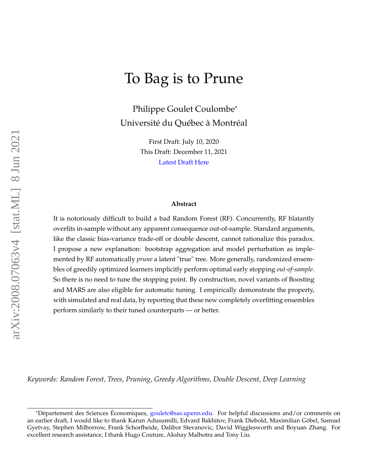# To Bag is to Prune

Philippe Goulet Coulombe\* Université du Québec à Montréal

> First Draft: July 10, 2020 This Draft: December 11, 2021 [Latest Draft Here](https://drive.google.com/file/d/1W_-t5EOn3ulLz6SVOVs1AHHGrc7SAb4h/view?usp=sharing)

#### **Abstract**

It is notoriously difficult to build a bad Random Forest (RF). Concurrently, RF blatantly overfits in-sample without any apparent consequence out-of-sample. Standard arguments, like the classic bias-variance trade-off or double descent, cannot rationalize this paradox. I propose a new explanation: bootstrap aggregation and model perturbation as implemented by RF automatically *prune* a latent "true" tree. More generally, randomized ensembles of greedily optimized learners implicitly perform optimal early stopping *out-of-sample*. So there is no need to tune the stopping point. By construction, novel variants of Boosting and MARS are also eligible for automatic tuning. I empirically demonstrate the property, with simulated and real data, by reporting that these new completely overfitting ensembles perform similarly to their tuned counterparts — or better.

*Keywords: Random Forest, Trees, Pruning, Greedy Algorithms, Double Descent, Deep Learning*

<sup>\*</sup>Département des Sciences Économiques, [gouletc@sas.upenn.edu.](mailto:gouletc@sas.upenn.edu.) For helpful discussions and/or comments on an earlier draft, I would like to thank Karun Adusumilli, Edvard Bakhitov, Frank Diebold, Maximilian Göbel, Samuel Gyetvay, Stephen Milborrow, Frank Schorfheide, Dalibor Stevanovic, David Wigglesworth and Boyuan Zhang. For excellent research assistance, I thank Hugo Couture, Akshay Malhotra and Tony Liu.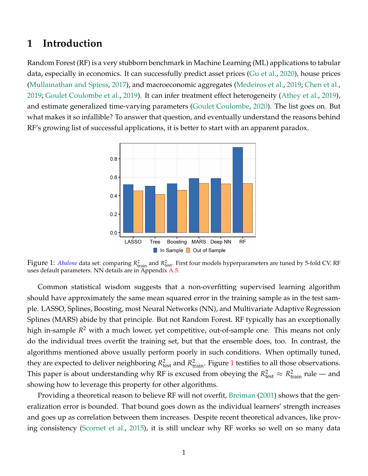### **1 Introduction**

Random Forest (RF) is a very stubborn benchmark in Machine Learning (ML) applications to tabular data, especially in economics. It can successfully predict asset prices [\(Gu et al.,](#page-21-0) [2020\)](#page-21-0), house prices [\(Mullainathan and Spiess,](#page-22-0) [2017\)](#page-22-0), and macroeconomic aggregates [\(Medeiros et al.,](#page-22-1) [2019;](#page-22-1) [Chen et al.,](#page-20-0) [2019;](#page-20-0) [Goulet Coulombe et al.,](#page-21-1) [2019\)](#page-21-1). It can infer treatment effect heterogeneity [\(Athey et al.,](#page-20-1) [2019\)](#page-20-1), and estimate generalized time-varying parameters [\(Goulet Coulombe,](#page-21-2) [2020\)](#page-21-2). The list goes on. But what makes it so infallible? To answer that question, and eventually understand the reasons behind RF's growing list of successful applications, it is better to start with an apparent paradox.

<span id="page-1-0"></span>

Figure 1: *[Abalone](http://archive.ics.uci.edu/ml/datasets/Abalone)* data set: comparing  $R_{\text{train}}^2$  and  $R_{\text{test}}^2$ . First four models hyperparameters are tuned by 5-fold CV. RF uses default parameters. NN details are in Appendix [A.5.](#page-29-0)

Common statistical wisdom suggests that a non-overfitting supervised learning algorithm should have approximately the same mean squared error in the training sample as in the test sample. LASSO, Splines, Boosting, most Neural Networks (NN), and Multivariate Adaptive Regression Splines (MARS) abide by that principle. But not Random Forest. RF typically has an exceptionally high in-sample *R* <sup>2</sup> with a much lower, yet competitive, out-of-sample one. This means not only do the individual trees overfit the training set, but that the ensemble does, too. In contrast, the algorithms mentioned above usually perform poorly in such conditions. When optimally tuned, they are expected to deliver neighboring  $R_{\text{test}}^2$  and  $R_{\text{train}}^2$ . Figure [1](#page-1-0) testifies to all those observations. This paper is about understanding why RF is excused from obeying the  $R^2_{\text{test}} \approx R^2_{\text{train}}$  rule — and showing how to leverage this property for other algorithms.

Providing a theoretical reason to believe RF will not overfit, [Breiman](#page-20-2) [\(2001\)](#page-20-2) shows that the generalization error is bounded. That bound goes down as the individual learners' strength increases and goes up as correlation between them increases. Despite recent theoretical advances, like proving consistency [\(Scornet et al.,](#page-22-2) [2015\)](#page-22-2), it is still unclear why RF works so well on so many data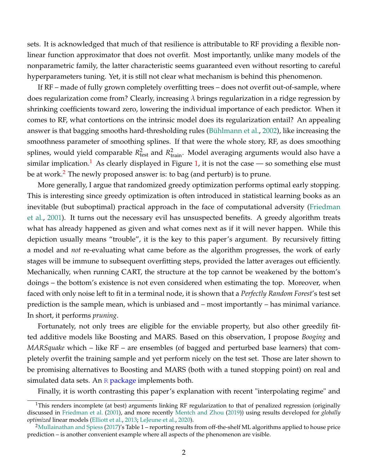sets. It is acknowledged that much of that resilience is attributable to RF providing a flexible nonlinear function approximator that does not overfit. Most importantly, unlike many models of the nonparametric family, the latter characteristic seems guaranteed even without resorting to careful hyperparameters tuning. Yet, it is still not clear what mechanism is behind this phenomenon.

If RF – made of fully grown completely overfitting trees – does not overfit out-of-sample, where does regularization come from? Clearly, increasing *λ* brings regularization in a ridge regression by shrinking coefficients toward zero, lowering the individual importance of each predictor. When it comes to RF, what contortions on the intrinsic model does its regularization entail? An appealing answer is that bagging smooths hard-thresholding rules [\(Bühlmann et al.,](#page-20-3) [2002\)](#page-20-3), like increasing the smoothness parameter of smoothing splines. If that were the whole story, RF, as does smoothing splines, would yield comparable  $R_{\text{test}}^2$  and  $R_{\text{train}}^2$ . Model averaging arguments would also have a similar implication.<sup>[1](#page-2-0)</sup> As clearly displayed in Figure [1,](#page-1-0) it is not the case — so something else must be at work.<sup>[2](#page-2-1)</sup> The newly proposed answer is: to bag (and perturb) is to prune.

More generally, I argue that randomized greedy optimization performs optimal early stopping. This is interesting since greedy optimization is often introduced in statistical learning books as an inevitable (but suboptimal) practical approach in the face of computational adversity [\(Friedman](#page-20-4) [et al.,](#page-20-4) [2001\)](#page-20-4). It turns out the necessary evil has unsuspected benefits. A greedy algorithm treats what has already happened as given and what comes next as if it will never happen. While this depiction usually means "trouble", it is the key to this paper's argument. By recursively fitting a model and *not* re-evaluating what came before as the algorithm progresses, the work of early stages will be immune to subsequent overfitting steps, provided the latter averages out efficiently. Mechanically, when running CART, the structure at the top cannot be weakened by the bottom's doings – the bottom's existence is not even considered when estimating the top. Moreover, when faced with only noise left to fit in a terminal node, it is shown that a *Perfectly Random Forest*'s test set prediction is the sample mean, which is unbiased and – most importantly – has minimal variance. In short, it performs *pruning*.

Fortunately, not only trees are eligible for the enviable property, but also other greedily fitted additive models like Boosting and MARS. Based on this observation, I propose *Booging* and *MARSquake* which – like RF – are ensembles (of bagged and perturbed base learners) that completely overfit the training sample and yet perform nicely on the test set. Those are later shown to be promising alternatives to Boosting and MARS (both with a tuned stopping point) on real and simulated data sets. An  $R$  [package](https://drive.google.com/file/d/1K973ZN7_YHyh3WdqZGt6WApmD66LiHhl/view) implements both.

Finally, it is worth contrasting this paper's explanation with recent "interpolating regime" and

<span id="page-2-0"></span><sup>&</sup>lt;sup>1</sup>This renders incomplete (at best) arguments linking RF regularization to that of penalized regression (originally discussed in [Friedman et al.](#page-20-4) [\(2001\)](#page-20-4), and more recently [Mentch and Zhou](#page-22-3) [\(2019\)](#page-22-3)) using results developed for *globally optimized* linear models [\(Elliott et al.,](#page-20-5) [2013;](#page-20-5) [LeJeune et al.,](#page-22-4) [2020\)](#page-22-4).

<span id="page-2-1"></span><sup>&</sup>lt;sup>2</sup>[Mullainathan and Spiess](#page-22-0) [\(2017\)](#page-22-0)'s Table 1 – reporting results from off-the-shelf ML algorithms applied to house price prediction – is another convenient example where all aspects of the phenomenon are visible.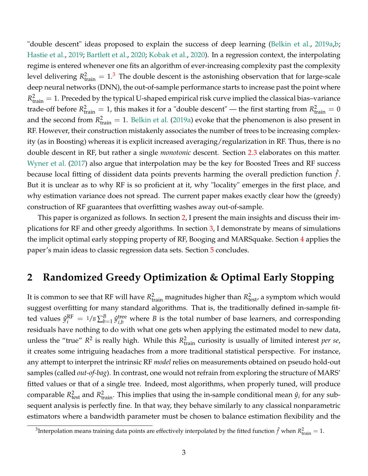"double descent" ideas proposed to explain the success of deep learning [\(Belkin et al.,](#page-20-6) [2019a](#page-20-6)[,b;](#page-20-7) [Hastie et al.,](#page-21-3) [2019;](#page-21-3) [Bartlett et al.,](#page-20-8) [2020;](#page-20-8) [Kobak et al.,](#page-21-4) [2020\)](#page-21-4). In a regression context, the interpolating regime is entered whenever one fits an algorithm of ever-increasing complexity past the complexity level delivering  $R_{\text{train}}^2 = 1.3$  $R_{\text{train}}^2 = 1.3$  The double descent is the astonishing observation that for large-scale deep neural networks (DNN), the out-of-sample performance starts to increase past the point where  $R_{\text{train}}^2 = 1$ . Preceded by the typical U-shaped empirical risk curve implied the classical bias–variance trade-off before  $R_{\text{train}}^2 = 1$ , this makes it for a "double descent" — the first starting from  $R_{\text{train}}^2 = 0$ and the second from  $R_{\text{train}}^2 = 1$ . [Belkin et al.](#page-20-6) [\(2019a\)](#page-20-6) evoke that the phenomenon is also present in RF. However, their construction mistakenly associates the number of trees to be increasing complexity (as in Boosting) whereas it is explicit increased averaging/regularization in RF. Thus, there is no double descent in RF, but rather a single *monotonic* descent. Section [2.3](#page-9-0) elaborates on this matter. [Wyner et al.](#page-22-5) [\(2017\)](#page-22-5) also argue that interpolation may be the key for Boosted Trees and RF success because local fitting of dissident data points prevents harming the overall prediction function  $\hat{f}$ . But it is unclear as to why RF is so proficient at it, why "locality" emerges in the first place, and why estimation variance does not spread. The current paper makes exactly clear how the (greedy) construction of RF guarantees that overfitting washes away out-of-sample.

This paper is organized as follows. In section [2,](#page-3-1) I present the main insights and discuss their implications for RF and other greedy algorithms. In section [3,](#page-14-0) I demonstrate by means of simulations the implicit optimal early stopping property of RF, Booging and MARSquake. Section [4](#page-16-0) applies the paper's main ideas to classic regression data sets. Section [5](#page-19-0) concludes.

### <span id="page-3-1"></span>**2 Randomized Greedy Optimization & Optimal Early Stopping**

It is common to see that RF will have  $R_{\text{train}}^2$  magnitudes higher than  $R_{\text{test}}^2$ , a symptom which would suggest overfitting for many standard algorithms. That is, the traditionally defined in-sample fitted values  $\hat{y}_i^{\text{RF}} = 1/B \sum_{b=1}^B \hat{y}_{i,b}^{\text{tree}}$  where *B* is the total number of base learners, and corresponding residuals have nothing to do with what one gets when applying the estimated model to new data, unless the "true"  $R^2$  is really high. While this  $R^2_{\text{train}}$  curiosity is usually of limited interest *per se*, it creates some intriguing headaches from a more traditional statistical perspective. For instance, any attempt to interpret the intrinsic RF *model* relies on measurements obtained on pseudo hold-out samples (called *out-of-bag*). In contrast, one would not refrain from exploring the structure of MARS' fitted values or that of a single tree. Indeed, most algorithms, when properly tuned, will produce comparable  $R_{\text{test}}^2$  and  $R_{\text{train}}^2$ . This implies that using the in-sample conditional mean  $\hat{y}_i$  for any subsequent analysis is perfectly fine. In that way, they behave similarly to any classical nonparametric estimators where a bandwidth parameter must be chosen to balance estimation flexibility and the

<span id="page-3-0"></span><sup>&</sup>lt;sup>3</sup>Interpolation means training data points are effectively interpolated by the fitted function  $\hat{f}$  when  $R_{\text{train}}^2 = 1$ .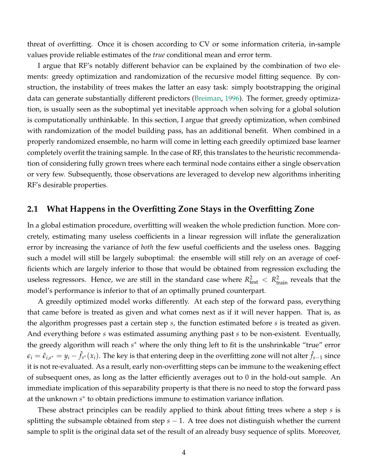threat of overfitting. Once it is chosen according to CV or some information criteria, in-sample values provide reliable estimates of the *true* conditional mean and error term.

I argue that RF's notably different behavior can be explained by the combination of two elements: greedy optimization and randomization of the recursive model fitting sequence. By construction, the instability of trees makes the latter an easy task: simply bootstrapping the original data can generate substantially different predictors [\(Breiman,](#page-20-9) [1996\)](#page-20-9). The former, greedy optimization, is usually seen as the suboptimal yet inevitable approach when solving for a global solution is computationally unthinkable. In this section, I argue that greedy optimization, when combined with randomization of the model building pass, has an additional benefit. When combined in a properly randomized ensemble, no harm will come in letting each greedily optimized base learner completely overfit the training sample. In the case of RF, this translates to the heuristic recommendation of considering fully grown trees where each terminal node contains either a single observation or very few. Subsequently, those observations are leveraged to develop new algorithms inheriting RF's desirable properties.

### **2.1 What Happens in the Overfitting Zone Stays in the Overfitting Zone**

In a global estimation procedure, overfitting will weaken the whole prediction function. More concretely, estimating many useless coefficients in a linear regression will inflate the generalization error by increasing the variance of *both* the few useful coefficients and the useless ones. Bagging such a model will still be largely suboptimal: the ensemble will still rely on an average of coefficients which are largely inferior to those that would be obtained from regression excluding the useless regressors. Hence, we are still in the standard case where  $R_{\text{test}}^2 < R_{\text{train}}^2$  reveals that the model's performance is inferior to that of an optimally pruned counterpart.

A greedily optimized model works differently. At each step of the forward pass, everything that came before is treated as given and what comes next as if it will never happen. That is, as the algorithm progresses past a certain step *s*, the function estimated before *s* is treated as given. And everything before *s* was estimated assuming anything past *s* to be non-existent. Eventually, the greedy algorithm will reach *s*<sup>\*</sup> where the only thing left to fit is the unshrinkable "true" error  $\epsilon_i=\hat{\epsilon}_{i,s^*}=y_i-\hat{f}_{s^*}(x_i).$  The key is that entering deep in the overfitting zone will not alter  $\hat{f}_{s-1}$  since it is not re-evaluated. As a result, early non-overfitting steps can be immune to the weakening effect of subsequent ones, as long as the latter efficiently averages out to 0 in the hold-out sample. An immediate implication of this separability property is that there is no need to stop the forward pass at the unknown  $s^*$  to obtain predictions immune to estimation variance inflation.

These abstract principles can be readily applied to think about fitting trees where a step *s* is splitting the subsample obtained from step *s* − 1. A tree does not distinguish whether the current sample to split is the original data set of the result of an already busy sequence of splits. Moreover,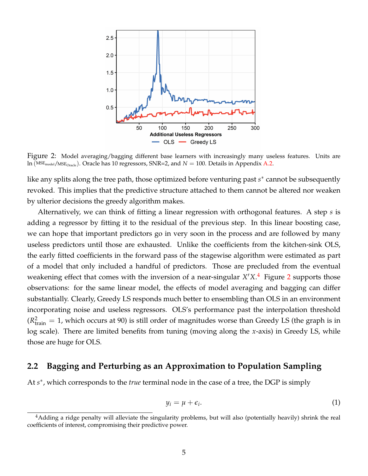<span id="page-5-1"></span>

Figure 2: Model averaging/bagging different base learners with increasingly many useless features. Units are  $ln (MSE_{model}/MSE_{Oracle})$ . Oracle has 10 regressors, SNR=2, and  $N = 100$ . Details in Appendix [A.2.](#page-27-0)

like any splits along the tree path, those optimized before venturing past *s*<sup>\*</sup> cannot be subsequently revoked. This implies that the predictive structure attached to them cannot be altered nor weaken by ulterior decisions the greedy algorithm makes.

Alternatively, we can think of fitting a linear regression with orthogonal features. A step *s* is adding a regressor by fitting it to the residual of the previous step. In this linear boosting case, we can hope that important predictors go in very soon in the process and are followed by many useless predictors until those are exhausted. Unlike the coefficients from the kitchen-sink OLS, the early fitted coefficients in the forward pass of the stagewise algorithm were estimated as part of a model that only included a handful of predictors. Those are precluded from the eventual weakening effect that comes with the inversion of a near-singular  $X'X$ .<sup>[4](#page-5-0)</sup> Figure [2](#page-5-1) supports those observations: for the same linear model, the effects of model averaging and bagging can differ substantially. Clearly, Greedy LS responds much better to ensembling than OLS in an environment incorporating noise and useless regressors. OLS's performance past the interpolation threshold  $(R<sup>2</sup><sub>train</sub> = 1,$  which occurs at 90) is still order of magnitudes worse than Greedy LS (the graph is in log scale). There are limited benefits from tuning (moving along the *x*-axis) in Greedy LS, while those are huge for OLS.

### **2.2 Bagging and Perturbing as an Approximation to Population Sampling**

At *s*<sup>\*</sup>, which corresponds to the *true* terminal node in the case of a tree, the DGP is simply

<span id="page-5-2"></span>
$$
y_i = \mu + \epsilon_i. \tag{1}
$$

<span id="page-5-0"></span><sup>&</sup>lt;sup>4</sup>Adding a ridge penalty will alleviate the singularity problems, but will also (potentially heavily) shrink the real coefficients of interest, compromising their predictive power.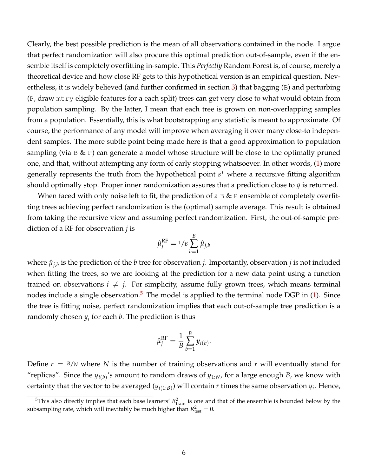Clearly, the best possible prediction is the mean of all observations contained in the node. I argue that perfect randomization will also procure this optimal prediction out-of-sample, even if the ensemble itself is completely overfitting in-sample. This *Perfectly* Random Forest is, of course, merely a theoretical device and how close RF gets to this hypothetical version is an empirical question. Nevertheless, it is widely believed (and further confirmed in section [3\)](#page-14-0) that bagging (B) and perturbing (P, draw mtry eligible features for a each split) trees can get very close to what would obtain from population sampling. By the latter, I mean that each tree is grown on non-overlapping samples from a population. Essentially, this is what bootstrapping any statistic is meant to approximate. Of course, the performance of any model will improve when averaging it over many close-to independent samples. The more subtle point being made here is that a good approximation to population sampling (via  $B \& P$ ) can generate a model whose structure will be close to the optimally pruned one, and that, without attempting any form of early stopping whatsoever. In other words, [\(1\)](#page-5-2) more generally represents the truth from the hypothetical point *s* <sup>∗</sup> where a recursive fitting algorithm should optimally stop. Proper inner randomization assures that a prediction close to  $\bar{y}$  is returned.

When faced with only noise left to fit, the prediction of a  $\mathbb B \& \mathbb P$  ensemble of completely overfitting trees achieving perfect randomization is the (optimal) sample average. This result is obtained from taking the recursive view and assuming perfect randomization. First, the out-of-sample prediction of a RF for observation *j* is

$$
\hat{\mu}_j^{\rm RF} = 1/B \sum_{b=1}^B \hat{\mu}_{j,b}
$$

where  $\hat{\mu}_{j,b}$  is the prediction of the  $b$  tree for observation  $j$ . Importantly, observation  $j$  is not included when fitting the trees, so we are looking at the prediction for a new data point using a function trained on observations  $i \neq j$ . For simplicity, assume fully grown trees, which means terminal nodes include a single observation.<sup>[5](#page-6-0)</sup> The model is applied to the terminal node DGP in  $(1)$ . Since the tree is fitting noise, perfect randomization implies that each out-of-sample tree prediction is a randomly chosen *y<sup>i</sup>* for each *b*. The prediction is thus

$$
\hat{\mu}_j^{\rm RF} = \frac{1}{B} \sum_{b=1}^B y_{i(b)}
$$

.

Define  $r = B/N$  where N is the number of training observations and r will eventually stand for "replicas". Since the  $y_{i(b)}$ 's amount to random draws of  $y_{1:N}$ , for a large enough *B*, we know with certainty that the vector to be averaged  $(y_{i(1:B)})$  will contain  $r$  times the same observation  $y_i$ . Hence,

<span id="page-6-0"></span><sup>&</sup>lt;sup>5</sup>This also directly implies that each base learners'  $R_{\text{train}}^2$  is one and that of the ensemble is bounded below by the subsampling rate, which will inevitably be much higher than  $R_{\text{test}}^2 = 0$ .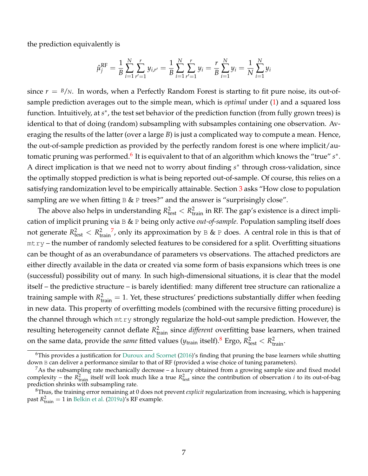the prediction equivalently is

$$
\hat{\mu}_{j}^{\text{RF}} = \frac{1}{B} \sum_{i=1}^{N} \sum_{r'=1}^{r} y_{i,r'} = \frac{1}{B} \sum_{i=1}^{N} \sum_{r'=1}^{r} y_{i} = \frac{r}{B} \sum_{i=1}^{N} y_{i} = \frac{1}{N} \sum_{i=1}^{N} y_{i}
$$

since  $r = B/N$ . In words, when a Perfectly Random Forest is starting to fit pure noise, its out-ofsample prediction averages out to the simple mean, which is *optimal* under [\(1\)](#page-5-2) and a squared loss function. Intuitively, at *s*<sup>\*</sup>, the test set behavior of the prediction function (from fully grown trees) is identical to that of doing (random) subsampling with subsamples containing one observation. Averaging the results of the latter (over a large *B*) is just a complicated way to compute a mean. Hence, the out-of-sample prediction as provided by the perfectly random forest is one where implicit/au-tomatic pruning was performed.<sup>[6](#page-7-0)</sup> It is equivalent to that of an algorithm which knows the "true" *s*\*. A direct implication is that we need not to worry about finding  $s^*$  through cross-validation, since the optimally stopped prediction is what is being reported out-of-sample. Of course, this relies on a satisfying randomization level to be empirically attainable. Section [3](#page-14-0) asks "How close to population sampling are we when fitting  $B & P$  trees?" and the answer is "surprisingly close".

The above also helps in understanding  $R_{\text{test}}^2 < R_{\text{train}}^2$  in RF. The gap's existence is a direct implication of implicit pruning via B & P being only active *out-of-sample*. Population sampling itself does not generate  $R_{\rm test}^2 < R_{\rm tr}^2$ train <sup>[7](#page-7-1)</sup>, only its approximation by  $\mathbb B \& \mathbb P$  does. A central role in this is that of mtry – the number of randomly selected features to be considered for a split. Overfitting situations can be thought of as an overabundance of parameters vs observations. The attached predictors are either directly available in the data or created via some form of basis expansions which trees is one (successful) possibility out of many. In such high-dimensional situations, it is clear that the model itself – the predictive structure – is barely identified: many different tree structure can rationalize a training sample with  $R_{\text{train}}^2 = 1$ . Yet, these structures' predictions substantially differ when feeding in new data. This property of overfitting models (combined with the recursive fitting procedure) is the channel through which mtry strongly regularize the hold-out sample prediction. However, the resulting heterogeneity cannot deflate  $R_{\text{train}}^2$  since *different* overfitting base learners, when trained on the same data, provide the *same* fitted values ( $y_{\text{train}}$  itself).<sup>[8](#page-7-2)</sup> Ergo,  $R_{\text{test}}^2 < R_{\text{train}}^2$ .

<span id="page-7-0"></span> $6$ This provides a justification for [Duroux and Scornet](#page-20-10) [\(2016\)](#page-20-10)'s finding that pruning the base learners while shutting down B can deliver a performance similar to that of RF (provided a wise choice of tuning parameters).

<span id="page-7-1"></span> $<sup>7</sup>$ As the subsampling rate mechanically decrease – a luxury obtained from a growing sample size and fixed model</sup> complexity – the  $R_{\text{train}}^2$  itself will look much like a true  $R_{\text{test}}^2$  since the contribution of observation *i* to its out-of-bag prediction shrinks with subsampling rate.

<span id="page-7-2"></span><sup>8</sup>Thus, the training error remaining at 0 does not prevent *explicit* regularization from increasing, which is happening past  $R_{\text{train}}^2 = 1$  in [Belkin et al.](#page-20-6) [\(2019a\)](#page-20-6)'s RF example.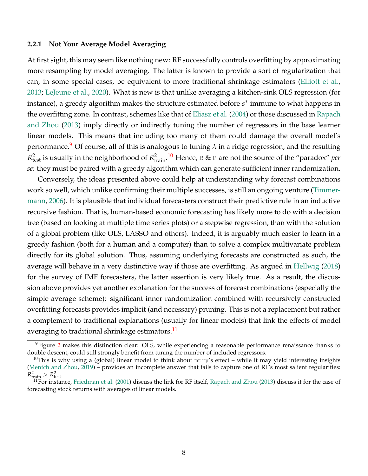#### <span id="page-8-3"></span>**2.2.1 Not Your Average Model Averaging**

At first sight, this may seem like nothing new: RF successfully controls overfitting by approximating more resampling by model averaging. The latter is known to provide a sort of regularization that can, in some special cases, be equivalent to more traditional shrinkage estimators [\(Elliott et al.,](#page-20-5) [2013;](#page-20-5) [LeJeune et al.,](#page-22-4) [2020\)](#page-22-4). What is new is that unlike averaging a kitchen-sink OLS regression (for instance), a greedy algorithm makes the structure estimated before *s* ∗ immune to what happens in the overfitting zone. In contrast, schemes like that of [Eliasz et al.](#page-20-11) [\(2004\)](#page-20-11) or those discussed in [Rapach](#page-22-6) [and Zhou](#page-22-6) [\(2013\)](#page-22-6) imply directly or indirectly tuning the number of regressors in the base learner linear models. This means that including too many of them could damage the overall model's performance.<sup>[9](#page-8-0)</sup> Of course, all of this is analogous to tuning  $\lambda$  in a ridge regression, and the resulting  $R^2_{\text{test}}$  is usually in the neighborhood of  $R^2_{\text{train}}$ .<sup>[10](#page-8-1)</sup> Hence, B & P are not the source of the "paradox" *per se*: they must be paired with a greedy algorithm which can generate sufficient inner randomization.

Conversely, the ideas presented above could help at understanding why forecast combinations work so well, which unlike confirming their multiple successes, is still an ongoing venture [\(Timmer](#page-22-7)[mann,](#page-22-7) [2006\)](#page-22-7). It is plausible that individual forecasters construct their predictive rule in an inductive recursive fashion. That is, human-based economic forecasting has likely more to do with a decision tree (based on looking at multiple time series plots) or a stepwise regression, than with the solution of a global problem (like OLS, LASSO and others). Indeed, it is arguably much easier to learn in a greedy fashion (both for a human and a computer) than to solve a complex multivariate problem directly for its global solution. Thus, assuming underlying forecasts are constructed as such, the average will behave in a very distinctive way if those are overfitting. As argued in [Hellwig](#page-21-5) [\(2018\)](#page-21-5) for the survey of IMF forecasters, the latter assertion is very likely true. As a result, the discussion above provides yet another explanation for the success of forecast combinations (especially the simple average scheme): significant inner randomization combined with recursively constructed overfitting forecasts provides implicit (and necessary) pruning. This is not a replacement but rather a complement to traditional explanations (usually for linear models) that link the effects of model averaging to traditional shrinkage estimators.<sup>[11](#page-8-2)</sup>

<span id="page-8-0"></span> $9$ Figure [2](#page-5-1) makes this distinction clear: OLS, while experiencing a reasonable performance renaissance thanks to double descent, could still strongly benefit from tuning the number of included regressors.

<span id="page-8-1"></span><sup>&</sup>lt;sup>10</sup>This is why using a (global) linear model to think about  $mtry's$  effect – while it may yield interesting insights [\(Mentch and Zhou,](#page-22-3) [2019\)](#page-22-3) – provides an incomplete answer that fails to capture one of RF's most salient regularities:  $R_{\text{train}}^2 > R_{\text{test}}^2$ .

<span id="page-8-2"></span> $^{11}$ For instance, [Friedman et al.](#page-20-4) [\(2001\)](#page-20-4) discuss the link for RF itself, [Rapach and Zhou](#page-22-6) [\(2013\)](#page-22-6) discuss it for the case of forecasting stock returns with averages of linear models.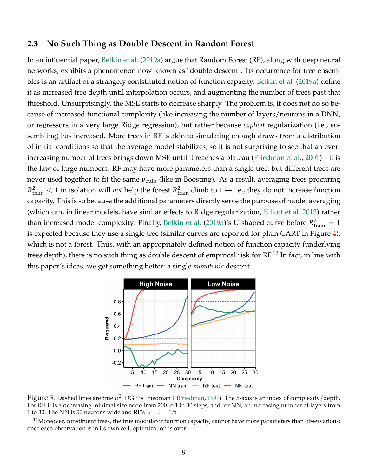#### <span id="page-9-0"></span>**2.3 No Such Thing as Double Descent in Random Forest**

In an influential paper, [Belkin et al.](#page-20-6) [\(2019a\)](#page-20-6) argue that Random Forest (RF), along with deep neural networks, exhibits a phenomenon now known as "double descent". Its occurrence for tree ensembles is an artifact of a strangely contstituted notion of function capacity. [Belkin et al.](#page-20-6) [\(2019a\)](#page-20-6) define it as increased tree depth until interpolation occurs, and augmenting the number of trees past that threshold. Unsurprisingly, the MSE starts to decrease sharply. The problem is, it does not do so because of increased functional complexity (like increasing the number of layers/neurons in a DNN, or regressors in a very large Ridge regression), but rather because *explicit* regularization (i.e., ensembling) has increased. More trees in RF is akin to simulating enough draws from a distribution of initial conditions so that the average model stabilizes, so it is not surprising to see that an everincreasing number of trees brings down MSE until it reaches a plateau [\(Friedman et al.,](#page-20-4) [2001\)](#page-20-4) – it is the law of large numbers. RF may have more parameters than a single tree, but different trees are never used together to fit the same  $y_{\text{train}}$  (like in Boosting). As a result, averaging trees procuring  $R_{\text{train}}^2 < 1$  in isolation will *not* help the forest  $R_{\text{train}}^2$  climb to 1 — i.e., they do not increase function capacity. This is so because the additional parameters directly serve the purpose of model averaging (which can, in linear models, have similar effects to Ridge regularization, [Elliott et al.](#page-20-5) [2013\)](#page-20-5) rather than increased model complexity. Finally, [Belkin et al.](#page-20-6) [\(2019a\)](#page-20-6)'s U-shaped curve before  $R_{\text{train}}^2 = 1$ is expected because they use a single tree (similar curves are reported for plain CART in Figure [4\)](#page-15-0), which is not a forest. Thus, with an appropriately defined notion of function capacity (underlying trees depth), there is no such thing as double descent of empirical risk for RF.<sup>[12](#page-9-1)</sup> In fact, in line with this paper's ideas, we get something better: a single *monotonic* descent.

<span id="page-9-2"></span>

Figure 3: Dashed lines are true R<sup>2</sup>. DGP is Friedman 1 [\(Friedman,](#page-20-12) [1991\)](#page-20-12). The *x*-axis is an index of complexity/depth. For RF, it is a decreasing minimal size node from 200 to 1 in 30 steps, and for NN, an increasing number of layers from 1 to 30. The NN is 50 neurons wide and RF's  $m$ t  $ry = \frac{1}{3}$ .

<span id="page-9-1"></span> $12$ Moreover, constituent trees, the true modulator function capacity, cannot have more parameters than observations: once each observation is in its own cell, optimization is over.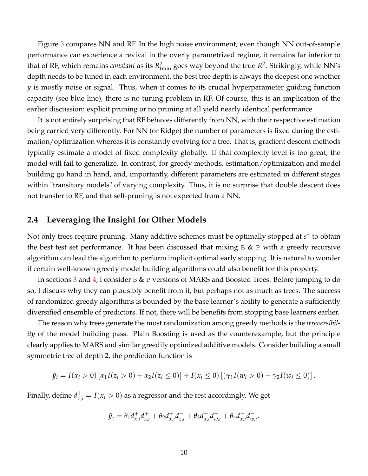Figure [3](#page-9-2) compares NN and RF. In the high noise environment, even though NN out-of-sample performance can experience a revival in the overly parametrized regime, it remains far inferior to that of RF, which remains *constant* as its  $R_{\text{train}}^2$  goes way beyond the true  $R^2$ . Strikingly, while NN's depth needs to be tuned in each environment, the best tree depth is always the deepest one whether *y* is mostly noise or signal. Thus, when it comes to its crucial hyperparameter guiding function capacity (see blue line), there is no tuning problem in RF. Of course, this is an implication of the earlier discussion: explicit pruning or no pruning at all yield nearly identical performance.

It is not entirely surprising that RF behaves differently from NN, with their respective estimation being carried very differently. For NN (or Ridge) the number of parameters is fixed during the estimation/optimization whereas it is constantly evolving for a tree. That is, gradient descent methods typically estimate a model of fixed complexity globally. If that complexity level is too great, the model will fail to generalize. In contrast, for greedy methods, estimation/optimization and model building go hand in hand, and, importantly, different parameters are estimated in different stages within "transitory models" of varying complexity. Thus, it is no surprise that double descent does not transfer to RF, and that self-pruning is not expected from a NN.

### **2.4 Leveraging the Insight for Other Models**

Not only trees require pruning. Many additive schemes must be optimally stopped at *s*<sup>∗</sup> to obtain the best test set performance. It has been discussed that mixing  $B \& P$  with a greedy recursive algorithm can lead the algorithm to perform implicit optimal early stopping. It is natural to wonder if certain well-known greedy model building algorithms could also benefit for this property.

In sections [3](#page-14-0) and [4,](#page-16-0) I consider B & P versions of MARS and Boosted Trees. Before jumping to do so, I discuss why they can plausibly benefit from it, but perhaps not as much as trees. The success of randomized greedy algorithms is bounded by the base learner's ability to generate a sufficiently diversified ensemble of predictors. If not, there will be benefits from stopping base learners earlier.

The reason why trees generate the most randomization among greedy methods is the *irreversibility* of the model building pass. Plain Boosting is used as the counterexample, but the principle clearly applies to MARS and similar greedily optimized additive models. Consider building a small symmetric tree of depth 2, the prediction function is

$$
\hat{y}_i = I(x_i > 0) [\alpha_1 I(z_i > 0) + \alpha_2 I(z_i \le 0)] + I(x_i \le 0) [(\gamma_1 I(w_i > 0) + \gamma_2 I(w_i \le 0)].
$$

Finally, define  $d_{x,i}^+ = I(x_i > 0)$  as a regressor and the rest accordingly. We get

$$
\hat{y}_i = \theta_1 d_{x,i}^+ d_{z,i}^+ + \theta_2 d_{x,i}^+ d_{z,i}^- + \theta_3 d_{x,i}^- d_{w,i}^+ + \theta_4 d_{x,i}^- d_{w,i}^-.
$$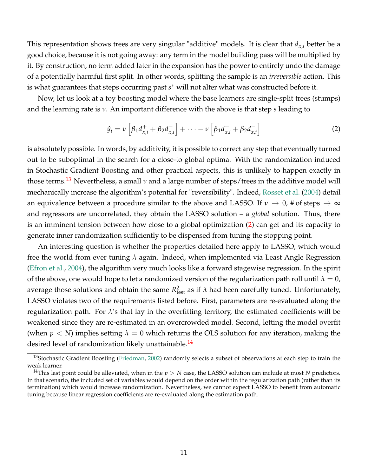This representation shows trees are very singular "additive" models. It is clear that  $d_{x,i}$  better be a good choice, because it is not going away: any term in the model building pass will be multiplied by it. By construction, no term added later in the expansion has the power to entirely undo the damage of a potentially harmful first split. In other words, splitting the sample is an *irreversible* action. This is what guarantees that steps occurring past *s* <sup>∗</sup> will not alter what was constructed before it.

Now, let us look at a toy boosting model where the base learners are single-split trees (stumps) and the learning rate is *ν*. An important difference with the above is that step *s* leading to

<span id="page-11-1"></span>
$$
\hat{y}_i = \nu \left[ \beta_1 d_{x,i}^+ + \beta_2 d_{x,i}^- \right] + \cdots - \nu \left[ \beta_1 d_{x,i}^+ + \beta_2 d_{x,i}^- \right]
$$
 (2)

is absolutely possible. In words, by additivity, it is possible to correct any step that eventually turned out to be suboptimal in the search for a close-to global optima. With the randomization induced in Stochastic Gradient Boosting and other practical aspects, this is unlikely to happen exactly in those terms.<sup>[13](#page-11-0)</sup> Nevertheless, a small  $\nu$  and a large number of steps/trees in the additive model will mechanically increase the algorithm's potential for "reversibility". Indeed, [Rosset et al.](#page-22-8) [\(2004\)](#page-22-8) detail an equivalence between a procedure similar to the above and LASSO. If  $\nu \to 0$ , # of steps  $\to \infty$ and regressors are uncorrelated, they obtain the LASSO solution – a *global* solution. Thus, there is an imminent tension between how close to a global optimization [\(2\)](#page-11-1) can get and its capacity to generate inner randomization sufficiently to be dispensed from tuning the stopping point.

An interesting question is whether the properties detailed here apply to LASSO, which would free the world from ever tuning *λ* again. Indeed, when implemented via Least Angle Regression [\(Efron et al.,](#page-20-13) [2004\)](#page-20-13), the algorithm very much looks like a forward stagewise regression. In the spirit of the above, one would hope to let a randomized version of the regularization path roll until  $\lambda = 0$ , average those solutions and obtain the same  $R_{\text{test}}^2$  as if  $\lambda$  had been carefully tuned. Unfortunately, LASSO violates two of the requirements listed before. First, parameters are re-evaluated along the regularization path. For  $\lambda$ 's that lay in the overfitting territory, the estimated coefficients will be weakened since they are re-estimated in an overcrowded model. Second, letting the model overfit (when  $p < N$ ) implies setting  $\lambda = 0$  which returns the OLS solution for any iteration, making the desired level of randomization likely unattainable.<sup>[14](#page-11-2)</sup>

<span id="page-11-0"></span><sup>&</sup>lt;sup>13</sup>Stochastic Gradient Boosting [\(Friedman,](#page-21-6) [2002\)](#page-21-6) randomly selects a subset of observations at each step to train the weak learner.

<span id="page-11-2"></span><sup>&</sup>lt;sup>14</sup>This last point could be alleviated, when in the  $p > N$  case, the LASSO solution can include at most *N* predictors. In that scenario, the included set of variables would depend on the order within the regularization path (rather than its termination) which would increase randomization. Nevertheless, we cannot expect LASSO to benefit from automatic tuning because linear regression coefficients are re-evaluated along the estimation path.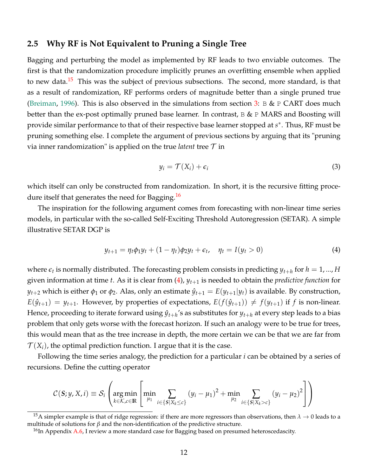### <span id="page-12-4"></span>**2.5 Why RF is Not Equivalent to Pruning a Single Tree**

Bagging and perturbing the model as implemented by RF leads to two enviable outcomes. The first is that the randomization procedure implicitly prunes an overfitting ensemble when applied to new data.<sup>[15](#page-12-0)</sup> This was the subject of previous subsections. The second, more standard, is that as a result of randomization, RF performs orders of magnitude better than a single pruned true [\(Breiman,](#page-20-9) [1996\)](#page-20-9). This is also observed in the simulations from section [3:](#page-14-0) B & P CART does much better than the ex-post optimally pruned base learner. In contrast, B & P MARS and Boosting will provide similar performance to that of their respective base learner stopped at *s* ∗ . Thus, RF must be pruning something else. I complete the argument of previous sections by arguing that its "pruning via inner randomization" is applied on the true *latent* tree  $\tau$  in

<span id="page-12-3"></span><span id="page-12-2"></span>
$$
y_i = \mathcal{T}(X_i) + \epsilon_i \tag{3}
$$

which itself can only be constructed from randomization. In short, it is the recursive fitting proce-dure itself that generates the need for Bagging.<sup>[16](#page-12-1)</sup>

The inspiration for the following argument comes from forecasting with non-linear time series models, in particular with the so-called Self-Exciting Threshold Autoregression (SETAR). A simple illustrative SETAR DGP is

$$
y_{t+1} = \eta_t \phi_1 y_t + (1 - \eta_t) \phi_2 y_t + \epsilon_t, \quad \eta_t = I(y_t > 0)
$$
 (4)

where  $\epsilon_t$  is normally distributed. The forecasting problem consists in predicting  $y_{t+h}$  for  $h=1,...,H$ given information at time *t*. As it is clear from [\(4\)](#page-12-2), *yt*+<sup>1</sup> is needed to obtain the *predictive function* for *y*<sup>*t*+2</sup> which is either  $\phi_1$  or  $\phi_2$ . Alas, only an estimate  $\hat{y}_{t+1} = E(y_{t+1}|y_t)$  is available. By construction,  $E(\hat{y}_{t+1}) = y_{t+1}$ . However, by properties of expectations,  $E(f(\hat{y}_{t+1})) \neq f(y_{t+1})$  if *f* is non-linear. Hence, proceeding to iterate forward using  $\hat{y}_{t+h}$ 's as substitutes for  $y_{t+h}$  at every step leads to a bias problem that only gets worse with the forecast horizon. If such an analogy were to be true for trees, this would mean that as the tree increase in depth, the more certain we can be that we are far from  $\mathcal{T}(X_i)$ , the optimal prediction function. I argue that it is the case.

Following the time series analogy, the prediction for a particular *i* can be obtained by a series of recursions. Define the cutting operator

$$
C(S; y, X, i) \equiv S_i \left( \argmin_{k \in \mathcal{K}, c \in \mathbb{R}} \left[ \min_{\mu_1} \sum_{i \in \{S | X_k \leq c\}} (y_i - \mu_1)^2 + \min_{\mu_2} \sum_{i \in \{S | X_k > c\}} (y_i - \mu_2)^2 \right] \right)
$$

<span id="page-12-0"></span><sup>15</sup>A simpler example is that of ridge regression: if there are more regressors than observations, then  $\lambda \to 0$  leads to a multitude of solutions for *β* and the non-identification of the predictive structure.

<span id="page-12-1"></span> $16$ In Appendix [A.6,](#page-29-1) I review a more standard case for Bagging based on presumed heteroscedascity.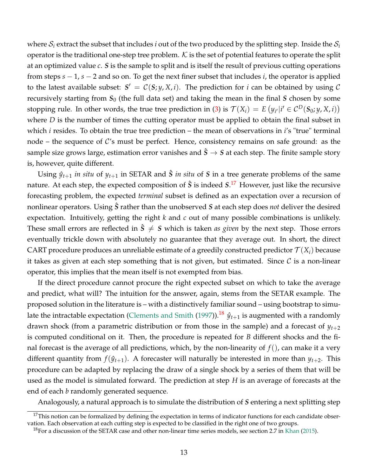where  $S_i$  extract the subset that includes *i* out of the two produced by the splitting step. Inside the  $S_i$ operator is the traditional one-step tree problem. K is the set of potential features to operate the split at an optimized value *c*. *S* is the sample to split and is itself the result of previous cutting operations from steps *s* − 1, *s* − 2 and so on. To get the next finer subset that includes *i*, the operator is applied to the latest available subset:  $S' = C(S; y, X, i)$ . The prediction for *i* can be obtained by using C recursively starting from  $S_0$  (the full data set) and taking the mean in the final  $S$  chosen by some stopping rule. In other words, the true tree prediction in [\(3\)](#page-12-3) is  $\mathcal{T}(X_i) = E(y_{i'}|i' \in C^D(\mathcal{S}_0; y, X, i))$ where *D* is the number of times the cutting operator must be applied to obtain the final subset in which *i* resides. To obtain the true tree prediction – the mean of observations in *i*'s "true" terminal node – the sequence of  $\mathcal{C}'$ s must be perfect. Hence, consistency remains on safe ground: as the sample size grows large, estimation error vanishes and  $\hat{S} \rightarrow S$  at each step. The finite sample story is, however, quite different.

Using  $\hat{y}_{t+1}$  *in situ* of  $y_{t+1}$  in SETAR and  $\hat{S}$  *in situ* of *S* in a tree generate problems of the same nature. At each step, the expected composition of *S*ˆ is indeed *S*. [17](#page-13-0) However, just like the recursive forecasting problem, the expected *terminal* subset is defined as an expectation over a recursion of nonlinear operators. Using *S*ˆ rather than the unobserved *S* at each step does *not* deliver the desired expectation. Intuitively, getting the right *k* and *c* out of many possible combinations is unlikely. These small errors are reflected in  $\overline{S} \neq S$  which is taken *as given* by the next step. Those errors eventually trickle down with absolutely no guarantee that they average out. In short, the direct CART procedure produces an unreliable estimate of a greedily constructed predictor  $\mathcal{T}(X_i)$  because it takes as given at each step something that is not given, but estimated. Since  $\mathcal C$  is a non-linear operator, this implies that the mean itself is not exempted from bias.

If the direct procedure cannot procure the right expected subset on which to take the average and predict, what will? The intuition for the answer, again, stems from the SETAR example. The proposed solution in the literature is – with a distinctively familiar sound – using bootstrap to simu-late the intractable expectation [\(Clements and Smith](#page-20-14) [\(1997\)](#page-20-14)).<sup>[18](#page-13-1)</sup>  $\hat{y}_{t+1}$  is augmented with a randomly drawn shock (from a parametric distribution or from those in the sample) and a forecast of *yt*+<sup>2</sup> is computed conditional on it. Then, the procedure is repeated for *B* different shocks and the final forecast is the average of all predictions, which, by the non-linearity of *f*(), can make it a very different quantity from  $f(\hat{y}_{t+1})$ . A forecaster will naturally be interested in more than  $y_{t+2}$ . This procedure can be adapted by replacing the draw of a single shock by a series of them that will be used as the model is simulated forward. The prediction at step *H* is an average of forecasts at the end of each *b* randomly generated sequence.

Analogously, a natural approach is to simulate the distribution of *S* entering a next splitting step

<span id="page-13-0"></span> $17$ This notion can be formalized by defining the expectation in terms of indicator functions for each candidate observation. Each observation at each cutting step is expected to be classified in the right one of two groups.

<span id="page-13-1"></span><sup>&</sup>lt;sup>18</sup>For a discussion of the SETAR case and other non-linear time series models, see section 2.7 in [Khan](#page-21-7) [\(2015\)](#page-21-7).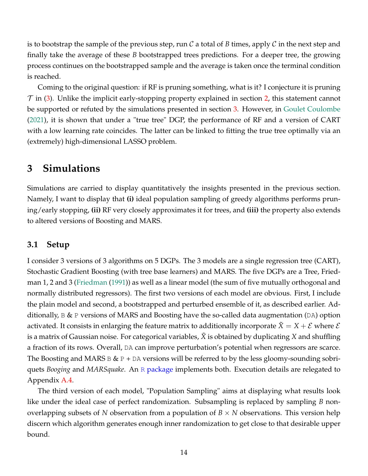is to bootstrap the sample of the previous step, run C a total of B times, apply C in the next step and finally take the average of these *B* bootstrapped trees predictions. For a deeper tree, the growing process continues on the bootstrapped sample and the average is taken once the terminal condition is reached.

Coming to the original question: if RF is pruning something, what is it? I conjecture it is pruning  $\mathcal T$  in [\(3\)](#page-12-3). Unlike the implicit early-stopping property explained in section [2,](#page-3-1) this statement cannot be supported or refuted by the simulations presented in section [3.](#page-14-0) However, in [Goulet Coulombe](#page-21-8) [\(2021\)](#page-21-8), it is shown that under a "true tree" DGP, the performance of RF and a version of CART with a low learning rate coincides. The latter can be linked to fitting the true tree optimally via an (extremely) high-dimensional LASSO problem.

### <span id="page-14-0"></span>**3 Simulations**

Simulations are carried to display quantitatively the insights presented in the previous section. Namely, I want to display that **(i)** ideal population sampling of greedy algorithms performs pruning/early stopping, **(ii)** RF very closely approximates it for trees, and **(iii)** the property also extends to altered versions of Boosting and MARS.

### **3.1 Setup**

I consider 3 versions of 3 algorithms on 5 DGPs. The 3 models are a single regression tree (CART), Stochastic Gradient Boosting (with tree base learners) and MARS. The five DGPs are a Tree, Friedman 1, 2 and 3 [\(Friedman](#page-20-12) [\(1991\)](#page-20-12)) as well as a linear model (the sum of five mutually orthogonal and normally distributed regressors). The first two versions of each model are obvious. First, I include the plain model and second, a bootstrapped and perturbed ensemble of it, as described earlier. Additionally,  $B \& P$  versions of MARS and Boosting have the so-called data augmentation (DA) option activated. It consists in enlarging the feature matrix to additionally incorporate  $X = X + \mathcal{E}$  where  $\mathcal{E}$ is a matrix of Gaussian noise. For categorical variables, *X*˜ is obtained by duplicating *X* and shuffling a fraction of its rows. Overall, DA can improve perturbation's potential when regressors are scarce. The Boosting and MARS  $B \& P + DA$  versions will be referred to by the less gloomy-sounding sobriquets *Booging* and *MARSquake*. An R [package](https://drive.google.com/file/d/1K973ZN7_YHyh3WdqZGt6WApmD66LiHhl/view) implements both. Execution details are relegated to Appendix [A.4.](#page-28-0)

The third version of each model, "Population Sampling" aims at displaying what results look like under the ideal case of perfect randomization. Subsampling is replaced by sampling *B* nonoverlapping subsets of *N* observation from a population of  $B \times N$  observations. This version help discern which algorithm generates enough inner randomization to get close to that desirable upper bound.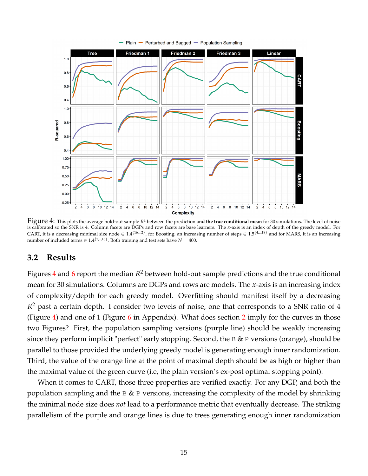<span id="page-15-0"></span>

Figure 4: This plots the average hold-out sample *<sup>R</sup>* <sup>2</sup> between the prediction **and the true conditional mean** for 30 simulations. The level of noise is calibrated so the SNR is 4. Column facets are DGPs and row facets are base learners. The *x*-axis is an index of depth of the greedy model. For CART, it is a decreasing minimal size node  $\in 1.4^{(16...2)}$ , for Boosting, an increasing number of steps  $\in 1.5^{\{4,...,18\}}$  and for MARS, it is an increasing number of included terms ∈  $1.4^{(2\dots,16)}$ . Both training and test sets have *N* = 400.

### **3.2 Results**

Figures  $4$  and  $6$  report the median  $R^2$  between hold-out sample predictions and the true conditional mean for 30 simulations. Columns are DGPs and rows are models. The *x*-axis is an increasing index of complexity/depth for each greedy model. Overfitting should manifest itself by a decreasing *R* <sup>2</sup> past a certain depth. I consider two levels of noise, one that corresponds to a SNR ratio of 4 (Figure [4\)](#page-15-0) and one of 1 (Figure  $6$  in Appendix). What does section [2](#page-3-1) imply for the curves in those two Figures? First, the population sampling versions (purple line) should be weakly increasing since they perform implicit "perfect" early stopping. Second, the  $B \& P$  versions (orange), should be parallel to those provided the underlying greedy model is generating enough inner randomization. Third, the value of the orange line at the point of maximal depth should be as high or higher than the maximal value of the green curve (i.e, the plain version's ex-post optimal stopping point).

When it comes to CART, those three properties are verified exactly. For any DGP, and both the population sampling and the  $B \& P$  versions, increasing the complexity of the model by shrinking the minimal node size does *not* lead to a performance metric that eventually decrease. The striking parallelism of the purple and orange lines is due to trees generating enough inner randomization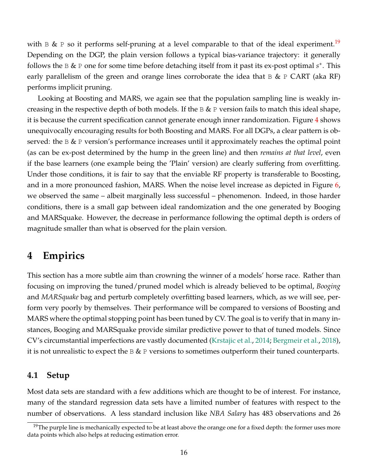with B & P so it performs self-pruning at a level comparable to that of the ideal experiment.<sup>[19](#page-16-1)</sup> Depending on the DGP, the plain version follows a typical bias-variance trajectory: it generally follows the B & P one for some time before detaching itself from it past its ex-post optimal *s* ∗ . This early parallelism of the green and orange lines corroborate the idea that  $\mathbb B \& \mathbb P$  CART (aka RF) performs implicit pruning.

Looking at Boosting and MARS, we again see that the population sampling line is weakly increasing in the respective depth of both models. If the  $B \& P$  version fails to match this ideal shape, it is because the current specification cannot generate enough inner randomization. Figure [4](#page-15-0) shows unequivocally encouraging results for both Boosting and MARS. For all DGPs, a clear pattern is observed: the  $\&$  P version's performance increases until it approximately reaches the optimal point (as can be ex-post determined by the hump in the green line) and then *remains at that level*, even if the base learners (one example being the 'Plain' version) are clearly suffering from overfitting. Under those conditions, it is fair to say that the enviable RF property is transferable to Boosting, and in a more pronounced fashion, MARS. When the noise level increase as depicted in Figure [6,](#page-23-0) we observed the same – albeit marginally less successful – phenomenon. Indeed, in those harder conditions, there is a small gap between ideal randomization and the one generated by Booging and MARSquake. However, the decrease in performance following the optimal depth is orders of magnitude smaller than what is observed for the plain version.

### <span id="page-16-0"></span>**4 Empirics**

This section has a more subtle aim than crowning the winner of a models' horse race. Rather than focusing on improving the tuned/pruned model which is already believed to be optimal, *Booging* and *MARSquake* bag and perturb completely overfitting based learners, which, as we will see, perform very poorly by themselves. Their performance will be compared to versions of Boosting and MARS where the optimal stopping point has been tuned by CV. The goal is to verify that in many instances, Booging and MARSquake provide similar predictive power to that of tuned models. Since CV's circumstantial imperfections are vastly documented [\(Krstajic et al.,](#page-21-9) [2014;](#page-21-9) [Bergmeir et al.,](#page-20-15) [2018\)](#page-20-15), it is not unrealistic to expect the B & P versions to sometimes outperform their tuned counterparts.

### **4.1 Setup**

Most data sets are standard with a few additions which are thought to be of interest. For instance, many of the standard regression data sets have a limited number of features with respect to the number of observations. A less standard inclusion like *NBA Salary* has 483 observations and 26

<span id="page-16-1"></span><sup>&</sup>lt;sup>19</sup>The purple line is mechanically expected to be at least above the orange one for a fixed depth: the former uses more data points which also helps at reducing estimation error.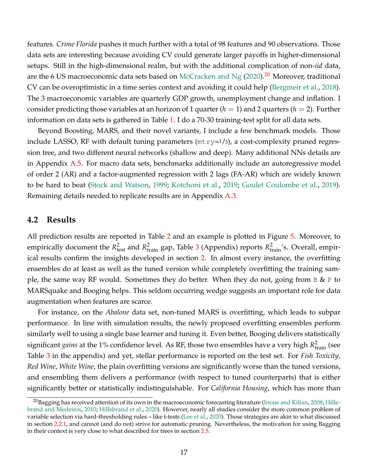features. *Crime Florida* pushes it much further with a total of 98 features and 90 observations. Those data sets are interesting because avoiding CV could generate larger payoffs in higher-dimensional setups. Still in the high-dimensional realm, but with the additional complication of non-*iid* data, are the 6 US macroeconomic data sets based on [McCracken and Ng](#page-22-9)  $(2020).<sup>20</sup>$  $(2020).<sup>20</sup>$  $(2020).<sup>20</sup>$  $(2020).<sup>20</sup>$  Moreover, traditional CV can be overoptimistic in a time series context and avoiding it could help [\(Bergmeir et al.,](#page-20-15) [2018\)](#page-20-15). The 3 macroeconomic variables are quarterly GDP growth, unemployment change and inflation. I consider predicting those variables at an horizon of 1 quarter  $(h = 1)$  and 2 quarters  $(h = 2)$ . Further information on data sets is gathered in Table [1.](#page-24-0) I do a 70-30 training-test split for all data sets.

Beyond Boosting, MARS, and their novel variants, I include a few benchmark models. Those include LASSO, RF with default tuning parameters  $(mtry=1/3)$ , a cost-complexity pruned regression tree, and two different neural networks (shallow and deep). Many additional NNs details are in Appendix [A.5.](#page-29-0) For macro data sets, benchmarks additionally include an autoregressive model of order 2 (AR) and a factor-augmented regression with 2 lags (FA-AR) which are widely known to be hard to beat [\(Stock and Watson,](#page-22-10) [1999;](#page-22-10) [Kotchoni et al.,](#page-21-10) [2019;](#page-21-10) [Goulet Coulombe et al.,](#page-21-1) [2019\)](#page-21-1). Remaining details needed to replicate results are in Appendix [A.3.](#page-27-1)

#### **4.2 Results**

All prediction results are reported in Table [2](#page-25-0) and an example is plotted in Figure [5.](#page-18-0) Moreover, to empirically document the  $R_{\text{test}}^2$  and  $R_{\text{train}}^2$  gap, Table [3](#page-26-0) (Appendix) reports  $R_{\text{train}}^2$ 's. Overall, empirical results confirm the insights developed in section [2.](#page-3-1) In almost every instance, the overfitting ensembles do at least as well as the tuned version while completely overfitting the training sample, the same way RF would. Sometimes they do better. When they do not, going from  $\overline{B}$  & P to MARSquake and Booging helps. This seldom occurring wedge suggests an important role for data augmentation when features are scarce.

For instance, on the *Abalone* data set, non-tuned MARS is overfitting, which leads to subpar performance. In line with simulation results, the newly proposed overfitting ensembles perform similarly well to using a single base learner and tuning it. Even better, Booging delivers statistically significant *gains* at the 1% confidence level. As RF, those two ensembles have a very high  $R_{\text{train}}^2$  (see Table [3](#page-26-0) in the appendix) and yet, stellar performance is reported on the test set. For *Fish Toxicity*, *Red Wine*, *White Wine*, the plain overfitting versions are significantly worse than the tuned versions, and ensembling them delivers a performance (with respect to tuned counterparts) that is either significantly better or statistically indistinguishable. For *California Housing*, which has more than

<span id="page-17-0"></span> $^{20}$ Bagging has received attention of its own in the macroeconomic forecasting literature [\(Inoue and Kilian,](#page-21-11) [2008;](#page-21-11) [Hille](#page-21-12)[brand and Medeiros,](#page-21-12) [2010;](#page-21-12) [Hillebrand et al.,](#page-21-13) [2020\)](#page-21-13). However, nearly all studies consider the more common problem of variable selection via hard-thresholding rules – like t-tests [\(Lee et al.,](#page-22-11) [2020\)](#page-22-11). Those strategies are akin to what discussed in section [2.2.1,](#page-8-3) and cannot (and do not) strive for automatic pruning. Nevertheless, the motivation for using Bagging in their context is very close to what described for trees in section [2.5.](#page-12-4)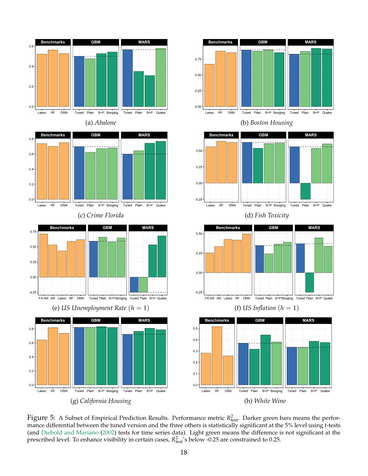<span id="page-18-0"></span>







**Benchmarks GBN MARS** Tuned Plain B+P Booging **DNN** Tuned Plain B+P Quake



Figure 5: A Subset of Empirical Prediction Results. Performance metric  $R_{\text{test}}^2$ . Darker green bars means the performance differential between the tuned version and the three others is statistically significant at the 5% level using t-tests (and [Diebold and Mariano](#page-20-16) [\(2002\)](#page-20-16) tests for time series data). Light green means the difference is not significant at the prescribed level. To enhance visibility in certain cases,  $R_{\text{test}}^2$ 's below -0.25 are constrained to 0.25.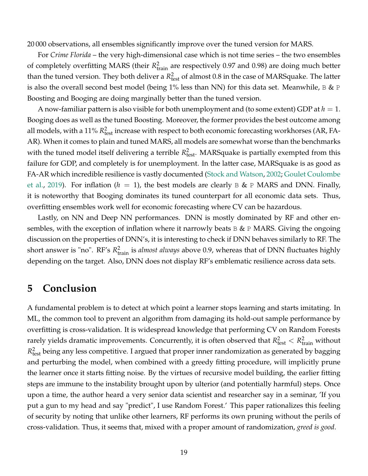20 000 observations, all ensembles significantly improve over the tuned version for MARS.

For *Crime Florida* – the very high-dimensional case which is not time series – the two ensembles of completely overfitting MARS (their  $R_{\text{train}}^2$  are respectively 0.97 and 0.98) are doing much better than the tuned version. They both deliver a  $R_{\text{test}}^2$  of almost 0.8 in the case of MARSquake. The latter is also the overall second best model (being  $1\%$  less than NN) for this data set. Meanwhile, B & P Boosting and Booging are doing marginally better than the tuned version.

A now-familiar pattern is also visible for both unemployment and (to some extent) GDP at  $h = 1$ . Booging does as well as the tuned Boosting. Moreover, the former provides the best outcome among all models, with a  $11\%$   $R^2_{\text{test}}$  increase with respect to both economic forecasting workhorses (AR, FA-AR). When it comes to plain and tuned MARS, all models are somewhat worse than the benchmarks with the tuned model itself delivering a terrible  $R_{\text{test}}^2$ . MARSquake is partially exempted from this failure for GDP, and completely is for unemployment. In the latter case, MARSquake is as good as FA-AR which incredible resilience is vastly documented [\(Stock and Watson,](#page-22-12) [2002;](#page-22-12) [Goulet Coulombe](#page-21-1) [et al.,](#page-21-1) [2019\)](#page-21-1). For inflation ( $h = 1$ ), the best models are clearly B & P MARS and DNN. Finally, it is noteworthy that Booging dominates its tuned counterpart for all economic data sets. Thus, overfitting ensembles work well for economic forecasting where CV can be hazardous.

Lastly, on NN and Deep NN performances. DNN is mostly dominated by RF and other ensembles, with the exception of inflation where it narrowly beats  $B \& P$  MARS. Giving the ongoing discussion on the properties of DNN's, it is interesting to check if DNN behaves similarly to RF. The short answer is "no". RF's  $R_{\text{train}}^2$  is *almost always* above 0.9, whereas that of DNN fluctuates highly depending on the target. Also, DNN does not display RF's emblematic resilience across data sets.

## <span id="page-19-0"></span>**5 Conclusion**

A fundamental problem is to detect at which point a learner stops learning and starts imitating. In ML, the common tool to prevent an algorithm from damaging its hold-out sample performance by overfitting is cross-validation. It is widespread knowledge that performing CV on Random Forests rarely yields dramatic improvements. Concurrently, it is often observed that  $R^2_{\text{test}} < R^2_{\text{train}}$  without  $R^2_{\text{test}}$  being any less competitive. I argued that proper inner randomization as generated by bagging and perturbing the model, when combined with a greedy fitting procedure, will implicitly prune the learner once it starts fitting noise. By the virtues of recursive model building, the earlier fitting steps are immune to the instability brought upon by ulterior (and potentially harmful) steps. Once upon a time, the author heard a very senior data scientist and researcher say in a seminar, 'If you put a gun to my head and say "predict", I use Random Forest.' This paper rationalizes this feeling of security by noting that unlike other learners, RF performs its own pruning without the perils of cross-validation. Thus, it seems that, mixed with a proper amount of randomization, *greed is good*.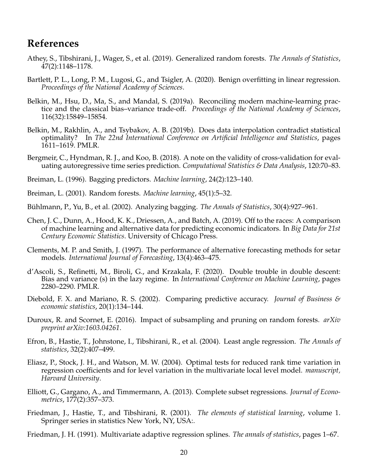### <span id="page-20-18"></span><span id="page-20-17"></span>**References**

- <span id="page-20-1"></span>Athey, S., Tibshirani, J., Wager, S., et al. (2019). Generalized random forests. *The Annals of Statistics*, 47(2):1148–1178.
- <span id="page-20-8"></span>Bartlett, P. L., Long, P. M., Lugosi, G., and Tsigler, A. (2020). Benign overfitting in linear regression. *Proceedings of the National Academy of Sciences*.
- <span id="page-20-6"></span>Belkin, M., Hsu, D., Ma, S., and Mandal, S. (2019a). Reconciling modern machine-learning practice and the classical bias–variance trade-off. *Proceedings of the National Academy of Sciences*, 116(32):15849–15854.
- <span id="page-20-7"></span>Belkin, M., Rakhlin, A., and Tsybakov, A. B. (2019b). Does data interpolation contradict statistical optimality? In *The 22nd International Conference on Artificial Intelligence and Statistics*, pages 1611–1619. PMLR.
- <span id="page-20-15"></span>Bergmeir, C., Hyndman, R. J., and Koo, B. (2018). A note on the validity of cross-validation for evaluating autoregressive time series prediction. *Computational Statistics & Data Analysis*, 120:70–83.
- <span id="page-20-9"></span>Breiman, L. (1996). Bagging predictors. *Machine learning*, 24(2):123–140.
- <span id="page-20-2"></span>Breiman, L. (2001). Random forests. *Machine learning*, 45(1):5–32.
- <span id="page-20-3"></span>Bühlmann, P., Yu, B., et al. (2002). Analyzing bagging. *The Annals of Statistics*, 30(4):927–961.
- <span id="page-20-0"></span>Chen, J. C., Dunn, A., Hood, K. K., Driessen, A., and Batch, A. (2019). Off to the races: A comparison of machine learning and alternative data for predicting economic indicators. In *Big Data for 21st Century Economic Statistics*. University of Chicago Press.
- <span id="page-20-14"></span>Clements, M. P. and Smith, J. (1997). The performance of alternative forecasting methods for setar models. *International Journal of Forecasting*, 13(4):463–475.
- d'Ascoli, S., Refinetti, M., Biroli, G., and Krzakala, F. (2020). Double trouble in double descent: Bias and variance (s) in the lazy regime. In *International Conference on Machine Learning*, pages 2280–2290. PMLR.
- <span id="page-20-16"></span>Diebold, F. X. and Mariano, R. S. (2002). Comparing predictive accuracy. *Journal of Business & economic statistics*, 20(1):134–144.
- <span id="page-20-10"></span>Duroux, R. and Scornet, E. (2016). Impact of subsampling and pruning on random forests. *arXiv preprint arXiv:1603.04261*.
- <span id="page-20-13"></span>Efron, B., Hastie, T., Johnstone, I., Tibshirani, R., et al. (2004). Least angle regression. *The Annals of statistics*, 32(2):407–499.
- <span id="page-20-11"></span>Eliasz, P., Stock, J. H., and Watson, M. W. (2004). Optimal tests for reduced rank time variation in regression coefficients and for level variation in the multivariate local level model. *manuscript, Harvard University*.
- <span id="page-20-5"></span>Elliott, G., Gargano, A., and Timmermann, A. (2013). Complete subset regressions. *Journal of Econometrics*, 177(2):357–373.
- <span id="page-20-4"></span>Friedman, J., Hastie, T., and Tibshirani, R. (2001). *The elements of statistical learning*, volume 1. Springer series in statistics New York, NY, USA:.
- <span id="page-20-12"></span>Friedman, J. H. (1991). Multivariate adaptive regression splines. *The annals of statistics*, pages 1–67.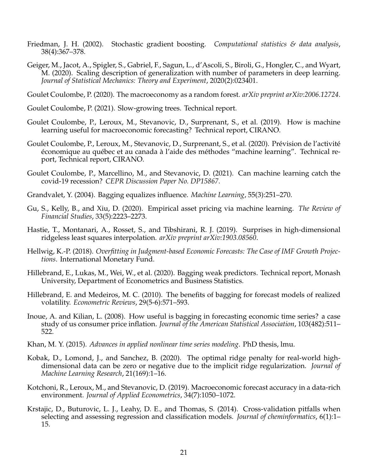- <span id="page-21-6"></span>Friedman, J. H. (2002). Stochastic gradient boosting. *Computational statistics & data analysis*, 38(4):367–378.
- Geiger, M., Jacot, A., Spigler, S., Gabriel, F., Sagun, L., d'Ascoli, S., Biroli, G., Hongler, C., and Wyart, M. (2020). Scaling description of generalization with number of parameters in deep learning. *Journal of Statistical Mechanics: Theory and Experiment*, 2020(2):023401.

<span id="page-21-2"></span>Goulet Coulombe, P. (2020). The macroeconomy as a random forest. *arXiv preprint arXiv:2006.12724*.

- <span id="page-21-8"></span>Goulet Coulombe, P. (2021). Slow-growing trees. Technical report.
- <span id="page-21-1"></span>Goulet Coulombe, P., Leroux, M., Stevanovic, D., Surprenant, S., et al. (2019). How is machine learning useful for macroeconomic forecasting? Technical report, CIRANO.
- <span id="page-21-14"></span>Goulet Coulombe, P., Leroux, M., Stevanovic, D., Surprenant, S., et al. (2020). Prévision de l'activité économique au québec et au canada à l'aide des méthodes "machine learning". Technical report, Technical report, CIRANO.
- <span id="page-21-15"></span>Goulet Coulombe, P., Marcellino, M., and Stevanovic, D. (2021). Can machine learning catch the covid-19 recession? *CEPR Discussion Paper No. DP15867*.
- <span id="page-21-16"></span>Grandvalet, Y. (2004). Bagging equalizes influence. *Machine Learning*, 55(3):251–270.
- <span id="page-21-0"></span>Gu, S., Kelly, B., and Xiu, D. (2020). Empirical asset pricing via machine learning. *The Review of Financial Studies*, 33(5):2223–2273.
- <span id="page-21-3"></span>Hastie, T., Montanari, A., Rosset, S., and Tibshirani, R. J. (2019). Surprises in high-dimensional ridgeless least squares interpolation. *arXiv preprint arXiv:1903.08560*.
- <span id="page-21-5"></span>Hellwig, K.-P. (2018). *Overfitting in Judgment-based Economic Forecasts: The Case of IMF Growth Projections*. International Monetary Fund.
- <span id="page-21-13"></span>Hillebrand, E., Lukas, M., Wei, W., et al. (2020). Bagging weak predictors. Technical report, Monash University, Department of Econometrics and Business Statistics.
- <span id="page-21-12"></span>Hillebrand, E. and Medeiros, M. C. (2010). The benefits of bagging for forecast models of realized volatility. *Econometric Reviews*, 29(5-6):571–593.
- <span id="page-21-11"></span>Inoue, A. and Kilian, L. (2008). How useful is bagging in forecasting economic time series? a case study of us consumer price inflation. *Journal of the American Statistical Association*, 103(482):511– 522.
- <span id="page-21-7"></span>Khan, M. Y. (2015). *Advances in applied nonlinear time series modeling*. PhD thesis, lmu.
- <span id="page-21-4"></span>Kobak, D., Lomond, J., and Sanchez, B. (2020). The optimal ridge penalty for real-world highdimensional data can be zero or negative due to the implicit ridge regularization. *Journal of Machine Learning Research*, 21(169):1–16.
- <span id="page-21-10"></span>Kotchoni, R., Leroux, M., and Stevanovic, D. (2019). Macroeconomic forecast accuracy in a data-rich environment. *Journal of Applied Econometrics*, 34(7):1050–1072.
- <span id="page-21-9"></span>Krstajic, D., Buturovic, L. J., Leahy, D. E., and Thomas, S. (2014). Cross-validation pitfalls when selecting and assessing regression and classification models. *Journal of cheminformatics*, 6(1):1– 15.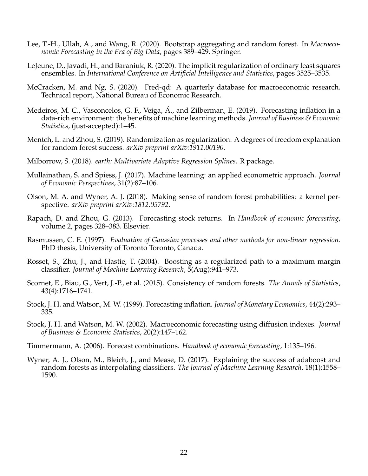- <span id="page-22-11"></span>Lee, T.-H., Ullah, A., and Wang, R. (2020). Bootstrap aggregating and random forest. In *Macroeconomic Forecasting in the Era of Big Data*, pages 389–429. Springer.
- <span id="page-22-4"></span>LeJeune, D., Javadi, H., and Baraniuk, R. (2020). The implicit regularization of ordinary least squares ensembles. In *International Conference on Artificial Intelligence and Statistics*, pages 3525–3535.
- <span id="page-22-9"></span>McCracken, M. and Ng, S. (2020). Fred-qd: A quarterly database for macroeconomic research. Technical report, National Bureau of Economic Research.
- <span id="page-22-1"></span>Medeiros, M. C., Vasconcelos, G. F., Veiga, Á., and Zilberman, E. (2019). Forecasting inflation in a data-rich environment: the benefits of machine learning methods. *Journal of Business & Economic Statistics*, (just-accepted):1–45.
- <span id="page-22-3"></span>Mentch, L. and Zhou, S. (2019). Randomization as regularization: A degrees of freedom explanation for random forest success. *arXiv preprint arXiv:1911.00190*.
- <span id="page-22-13"></span>Milborrow, S. (2018). *earth: Multivariate Adaptive Regression Splines*. R package.
- <span id="page-22-0"></span>Mullainathan, S. and Spiess, J. (2017). Machine learning: an applied econometric approach. *Journal of Economic Perspectives*, 31(2):87–106.
- <span id="page-22-14"></span>Olson, M. A. and Wyner, A. J. (2018). Making sense of random forest probabilities: a kernel perspective. *arXiv preprint arXiv:1812.05792*.
- <span id="page-22-6"></span>Rapach, D. and Zhou, G. (2013). Forecasting stock returns. In *Handbook of economic forecasting*, volume 2, pages 328–383. Elsevier.
- Rasmussen, C. E. (1997). *Evaluation of Gaussian processes and other methods for non-linear regression*. PhD thesis, University of Toronto Toronto, Canada.
- <span id="page-22-8"></span>Rosset, S., Zhu, J., and Hastie, T. (2004). Boosting as a regularized path to a maximum margin classifier. *Journal of Machine Learning Research*, 5(Aug):941–973.
- <span id="page-22-2"></span>Scornet, E., Biau, G., Vert, J.-P., et al. (2015). Consistency of random forests. *The Annals of Statistics*, 43(4):1716–1741.
- <span id="page-22-10"></span>Stock, J. H. and Watson, M. W. (1999). Forecasting inflation. *Journal of Monetary Economics*, 44(2):293– 335.
- <span id="page-22-12"></span>Stock, J. H. and Watson, M. W. (2002). Macroeconomic forecasting using diffusion indexes. *Journal of Business & Economic Statistics*, 20(2):147–162.
- <span id="page-22-7"></span>Timmermann, A. (2006). Forecast combinations. *Handbook of economic forecasting*, 1:135–196.
- <span id="page-22-5"></span>Wyner, A. J., Olson, M., Bleich, J., and Mease, D. (2017). Explaining the success of adaboost and random forests as interpolating classifiers. *The Journal of Machine Learning Research*, 18(1):1558– 1590.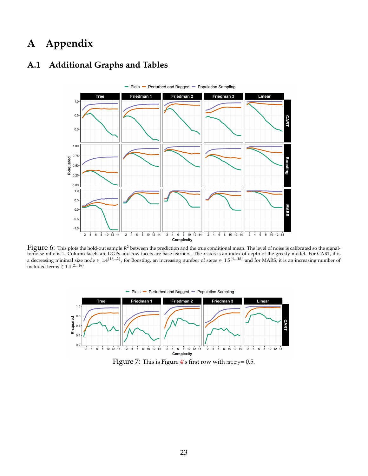# **A Appendix**



### <span id="page-23-0"></span>**A.1 Additional Graphs and Tables**

<span id="page-23-1"></span>Figure 6: This plots the hold-out sample *<sup>R</sup>* <sup>2</sup> between the prediction and the true conditional mean. The level of noise is calibrated so the signalto-noise ratio is 1. Column facets are DGPs and row facets are base learners. The *x*-axis is an index of depth of the greedy model. For CART, it is a decreasing minimal size node  $\in 1.4^{(16...2)}$ , for Boosting, an increasing number of steps  $\in 1.5^{(4...18)}$  and for MARS, it is an increasing number of included terms ∈  $1.4^{2...16}$ .



Figure 7: This is Figure [4'](#page-15-0)s first row with  $m$ t  $ry = 0.5$ .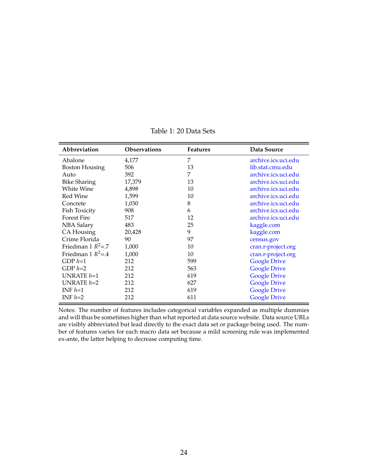<span id="page-24-0"></span>

| Abbreviation          | <b>Observations</b> | <b>Features</b> | Data Source         |  |  |  |  |  |
|-----------------------|---------------------|-----------------|---------------------|--|--|--|--|--|
| Abalone               | 4,177               | 7               | archive.ics.uci.edu |  |  |  |  |  |
| <b>Boston Housing</b> | 506                 | 13              | lib.stat.cmu.edu    |  |  |  |  |  |
| Auto                  | 392                 | 7               | archive.ics.uci.edu |  |  |  |  |  |
| <b>Bike Sharing</b>   | 17,379              | 13              | archive.ics.uci.edu |  |  |  |  |  |
| White Wine            | 4,898               | 10              | archive.ics.uci.edu |  |  |  |  |  |
| Red Wine              | 1,599               | 10              | archive.ics.uci.edu |  |  |  |  |  |
| Concrete              | 1,030               | 8               | archive.ics.uci.edu |  |  |  |  |  |
| Fish Toxicity         | 908                 | 6               | archive.ics.uci.edu |  |  |  |  |  |
| <b>Forest Fire</b>    | 517                 | 12              | archive.ics.uci.edu |  |  |  |  |  |
| <b>NBA Salary</b>     | 483                 | 25              | kaggle.com          |  |  |  |  |  |
| CA Housing            | 20,428              | 9               | kaggle.com          |  |  |  |  |  |
| Crime Florida         | 90                  | 97              | census.gov          |  |  |  |  |  |
| Friedman 1 $R^2 = 7$  | 1,000               | 10              | cran.r-project.org  |  |  |  |  |  |
| Friedman 1 $R^2$ =.4  | 1,000               | 10              | cran.r-project.org  |  |  |  |  |  |
| GDP $h=1$             | 212                 | 599             | <b>Google Drive</b> |  |  |  |  |  |
| GDP $h=2$             | 212                 | 563             | <b>Google Drive</b> |  |  |  |  |  |
| UNRATE $h=1$          | 212                 | 619             | <b>Google Drive</b> |  |  |  |  |  |
| UNRATE $h=2$          | 212                 | 627             | <b>Google Drive</b> |  |  |  |  |  |
| INF $h=1$             | 212                 | 619             | <b>Google Drive</b> |  |  |  |  |  |
| INF $h=2$             | 212                 | 611             | <b>Google Drive</b> |  |  |  |  |  |

Table 1: 20 Data Sets

Notes: The number of features includes categorical variables expanded as multiple dummies and will thus be sometimes higher than what reported at data source website. Data source URLs are visibly abbreviated but lead directly to the exact data set or package being used. The number of features varies for each macro data set because a mild screening rule was implemented ex-ante, the latter helping to decrease computing time.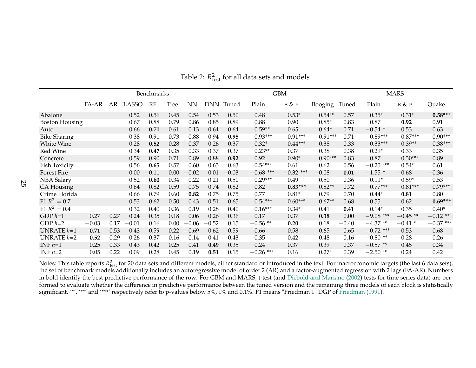|                       | Benchmarks                                              |      |            |                |      |         |         |              |             | <b>GBM</b>  |           | <b>MARS</b> |             |            |             |  |
|-----------------------|---------------------------------------------------------|------|------------|----------------|------|---------|---------|--------------|-------------|-------------|-----------|-------------|-------------|------------|-------------|--|
|                       | FA-AR<br>AR<br>LASSO<br>RF<br><b>Tree</b><br>${\rm NN}$ |      | <b>DNN</b> | Tuned<br>Plain |      | B & P   | Booging | Tuned        | Plain       | B & P       | Quake     |             |             |            |             |  |
| Abalone               |                                                         |      | 0.52       | 0.56           | 0.45 | 0.54    | 0.53    | 0.48<br>0.50 |             | $0.53*$     | $0.54**$  | 0.57        | $0.35*$     | $0.31*$    | $0.58***$   |  |
| <b>Boston Housing</b> |                                                         |      | 0.67       | 0.88           | 0.79 | 0.86    | 0.85    | 0.89         | 0.88        | 0.90        | $0.85*$   | 0.83        | 0.87        | 0.92       | 0.91        |  |
| Auto                  |                                                         |      | 0.66       | 0.71           | 0.61 | 0.13    | 0.64    | 0.64         | $0.59**$    | 0.65        | $0.64*$   | 0.71        | $-0.54*$    | 0.53       | 0.63        |  |
| <b>Bike Sharing</b>   |                                                         |      | 0.38       | 0.91           | 0.73 | 0.88    | 0.94    | 0.95         | $0.93***$   | $0.91***$   | $0.91***$ | 0.71        | $0.89***$   | $0.87***$  | $0.90***$   |  |
| White Wine            |                                                         |      | 0.28       | 0.52           | 0.28 | 0.37    | 0.26    | 0.37         | $0.32*$     | $0.44***$   | 0.38      | 0.33        | $0.33***$   | $0.39**$   | $0.38***$   |  |
| Red Wine              |                                                         |      | 0.34       | 0.47           | 0.35 | 0.33    | 0.37    | 0.37         | $0.23**$    | 0.37        | 0.38      | 0.38        | $0.29*$     | 0.33       | 0.35        |  |
| Concrete              |                                                         |      | 0.59       | 0.90           | 0.71 | 0.89    | 0.88    | 0.92         | 0.92        | $0.90*$     | $0.90***$ | 0.83        | 0.87        | $0.30***$  | 0.89        |  |
| Fish Toxicity         |                                                         |      | 0.56       | 0.65           | 0.57 | 0.60    | 0.63    | 0.63         | $0.54***$   | 0.61        | 0.62      | 0.56        | $-0.25$ *** | $0.54*$    | 0.61        |  |
| <b>Forest Fire</b>    |                                                         |      | 0.00       | $-0.11$        | 0.00 | $-0.02$ | 0.01    | $-0.03$      | $-0.68$ *** | $-0.32$ *** | $-0.08$   | 0.01        | $-1.55*$    | $-0.68$    | $-0.36$     |  |
| <b>NBA Salary</b>     |                                                         |      | 0.52       | 0.60           | 0.34 | 0.22    | 0.21    | 0.50         | $0.29***$   | 0.49        | 0.50      | 0.36        | $0.11*$     | $0.59*$    | 0.53        |  |
| CA Housing            |                                                         |      | 0.64       | 0.82           | 0.59 | 0.75    | 0.74    | 0.82         | 0.82        | $0.83***$   | $0.82**$  | 0.72        | $0.77***$   | $0.81***$  | $0.79***$   |  |
| Crime Florida         |                                                         |      | 0.66       | 0.79           | 0.60 | 0.82    | 0.75    | 0.75         | 0.77        | $0.81*$     | 0.79      | 0.70        | $0.44*$     | 0.81       | 0.80        |  |
| $F1 R^2 = 0.7$        |                                                         |      | 0.53       | 0.62           | 0.50 | 0.43    | 0.51    | 0.65         | $0.54***$   | $0.60***$   | $0.67**$  | 0.68        | 0.55        | 0.62       | $0.69***$   |  |
| $F1 R^2 = 0.4$        |                                                         |      | 0.32       | 0.40           | 0.36 | 0.19    | 0.28    | 0.40         | $0.16***$   | $0.34*$     | 0.41      | 0.41        | $0.14*$     | 0.35       | $0.40*$     |  |
| $GDP h=1$             | 0.27                                                    | 0.27 | 0.24       | 0.35           | 0.18 | 0.06    | 0.26    | 0.36         | 0.17        | 0.37        | 0.38      | 0.00        | $-9.08$ *** | $-0.45$ ** | $-0.12$ **  |  |
| GDP $h=2$             | $-0.03$                                                 | 0.17 | $-0.01$    | 0.16           | 0.00 | $-0.06$ | $-0.52$ | 0.15         | $-0.56$ **  | 0.20        | 0.18      | $-0.40$     | $-4.37**$   | $-0.41$ *  | $-0.37$ *** |  |
| UNRATE $h=1$          | 0.71                                                    | 0.53 | 0.43       | 0.59           | 0.22 | $-0.69$ | 0.62    | 0.59         | 0.66        | 0.58        | 0.65      | $-0.65$     | $-0.72$ *** | 0.53       | 0.68        |  |
| UNRATE $h=2$          | 0.52                                                    | 0.29 | 0.26       | 0.37           | 0.16 | 0.14    | 0.41    | 0.43         | 0.35        | 0.42        | 0.48      | 0.16        | $-0.80**$   | $-0.28$    | 0.26        |  |
| INF $h=1$             | 0.25                                                    | 0.33 | 0.43       | 0.42           | 0.25 | 0.41    | 0.49    | 0.35         | 0.24        | 0.37        | 0.39      | 0.37        | $-0.57$ **  | 0.45       | 0.34        |  |
| INF $h=2$             | 0.05                                                    | 0.22 | 0.09       | 0.28           | 0.45 | 0.19    | 0.51    | 0.15         | $-0.26$ *** | 0.16        | $0.27*$   | 0.39        | $-2.50$ **  | 0.24       | 0.42        |  |

Table 2:  $R_{\text{test}}^2$  for all data sets and models

<span id="page-25-0"></span>Notes: This table reports  $R_{\text{test}}^2$  for 20 data sets and different models, either standard or introduced in the text. For macroeconomic targets (the last 6 data sets), the set of benchmark models additionally includes an autoregressive model of order <sup>2</sup> (AR) and <sup>a</sup> factor-augmented regression with <sup>2</sup> lags (FA-AR). Numbers in bold identify the best predictive performance of the row. For GBM and MARS, t-test (and Diebold and [Mariano](#page-20-17) [\(2002\)](#page-20-17) tests for time series data) are performed to evaluate whether the difference in predictive performance between the tuned version and the remaining three models of each block is statisticallysignificant. '\*', '\*\*' and '\*\*\*' respectively refer to p-values below 5%, 1% and 0.1%. F1 means "Friedman 1" DGP of [Friedman](#page-20-18) [\(1991\)](#page-20-18).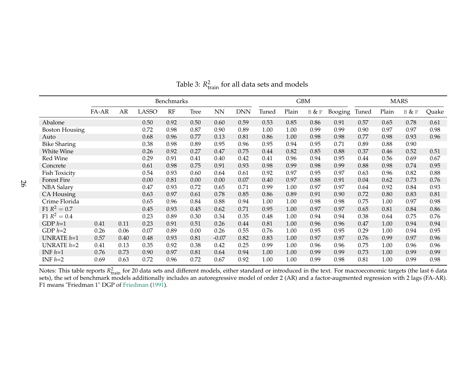|                       | Benchmarks |      |              |      |             |         |            |       |       | <b>GBM</b> |         | <b>MARS</b> |       |       |       |
|-----------------------|------------|------|--------------|------|-------------|---------|------------|-------|-------|------------|---------|-------------|-------|-------|-------|
|                       | FA-AR      | AR   | <b>LASSO</b> | RF   | <b>Tree</b> | NN      | <b>DNN</b> | Tuned | Plain | B & P      | Booging | Tuned       | Plain | B & P | Quake |
| Abalone               |            |      | 0.50         | 0.92 | 0.50        | 0.60    | 0.59       | 0.53  | 0.85  | 0.86       | 0.91    | 0.57        | 0.65  | 0.78  | 0.61  |
| <b>Boston Housing</b> |            |      | 0.72         | 0.98 | 0.87        | 0.90    | 0.89       | 1.00  | 1.00  | 0.99       | 0.99    | 0.90        | 0.97  | 0.97  | 0.98  |
| Auto                  |            |      | 0.68         | 0.96 | 0.77        | 0.13    | 0.81       | 0.86  | 1.00  | 0.98       | 0.98    | 0.77        | 0.98  | 0.93  | 0.96  |
| <b>Bike Sharing</b>   |            |      | 0.38         | 0.98 | 0.89        | 0.95    | 0.96       | 0.95  | 0.94  | 0.95       | 0.71    | 0.89        | 0.88  | 0.90  |       |
| White Wine            |            |      | 0.26         | 0.92 | 0.27        | 0.47    | 0.75       | 0.44  | 0.82  | 0.85       | 0.88    | 0.37        | 0.46  | 0.52  | 0.51  |
| Red Wine              |            |      | 0.29         | 0.91 | 0.41        | 0.40    | 0.42       | 0.41  | 0.96  | 0.94       | 0.95    | 0.44        | 0.56  | 0.69  | 0.67  |
| Concrete              |            |      | 0.61         | 0.98 | 0.75        | 0.91    | 0.93       | 0.98  | 0.99  | 0.98       | 0.99    | 0.88        | 0.98  | 0.74  | 0.95  |
| <b>Fish Toxicity</b>  |            |      | 0.54         | 0.93 | 0.60        | 0.64    | 0.61       | 0.92  | 0.97  | 0.95       | 0.97    | 0.63        | 0.96  | 0.82  | 0.88  |
| <b>Forest Fire</b>    |            |      | 0.00         | 0.81 | 0.00        | 0.00    | 0.07       | 0.40  | 0.97  | 0.88       | 0.91    | 0.04        | 0.62  | 0.73  | 0.76  |
| <b>NBA Salary</b>     |            |      | 0.47         | 0.93 | 0.72        | 0.65    | 0.71       | 0.99  | 1.00  | 0.97       | 0.97    | 0.64        | 0.92  | 0.84  | 0.93  |
| CA Housing            |            |      | 0.63         | 0.97 | 0.61        | 0.78    | 0.85       | 0.86  | 0.89  | 0.91       | 0.90    | 0.72        | 0.80  | 0.83  | 0.81  |
| Crime Florida         |            |      | 0.65         | 0.96 | 0.84        | 0.88    | 0.94       | 1.00  | 1.00  | 0.98       | 0.98    | 0.75        | 1.00  | 0.97  | 0.98  |
| $F1 R^2 = 0.7$        |            |      | 0.45         | 0.93 | 0.45        | 0.62    | 0.71       | 0.95  | 1.00  | 0.97       | 0.97    | 0.65        | 0.81  | 0.84  | 0.86  |
| $F1 R^2 = 0.4$        |            |      | 0.23         | 0.89 | 0.30        | 0.34    | 0.35       | 0.48  | 1.00  | 0.94       | 0.94    | 0.38        | 0.64  | 0.75  | 0.76  |
| GDP $h=1$             | 0.41       | 0.11 | 0.23         | 0.91 | 0.51        | 0.26    | 0.44       | 0.81  | 1.00  | 0.96       | 0.96    | 0.47        | 1.00  | 0.94  | 0.94  |
| GDP $h=2$             | 0.26       | 0.06 | 0.07         | 0.89 | 0.00        | 0.26    | 0.55       | 0.76  | 1.00  | 0.95       | 0.95    | 0.29        | 1.00  | 0.94  | 0.95  |
| UNRATE $h=1$          | 0.57       | 0.40 | 0.48         | 0.93 | 0.81        | $-0.07$ | 0.82       | 0.83  | 1.00  | 0.97       | 0.97    | 0.76        | 0.99  | 0.97  | 0.96  |
| UNRATE $h=2$          | 0.41       | 0.13 | 0.35         | 0.92 | 0.38        | 0.42    | 0.25       | 0.99  | 1.00  | 0.96       | 0.96    | 0.75        | 1.00  | 0.96  | 0.96  |
| INF $h=1$             | 0.76       | 0.73 | 0.90         | 0.97 | 0.81        | 0.64    | 0.94       | 1.00  | 1.00  | 0.99       | 0.99    | 0.73        | 1.00  | 0.99  | 0.99  |
| INF $h=2$             | 0.69       | 0.63 | 0.72         | 0.96 | 0.72        | 0.67    | 0.92       | 1.00  | 1.00  | 0.99       | 0.98    | 0.81        | 1.00  | 0.99  | 0.98  |

Table 3:  $R_{\text{train}}^2$  for all data sets and models

<span id="page-26-0"></span>Notes: This table reports  $R_{\text{train}}^2$  for 20 data sets and different models, either standard or introduced in the text. For macroeconomic targets (the last 6 data<br>sets), the set of benchmark models additionally includes a F1 means "Friedman 1" DGP of [Friedman](#page-20-18) [\(1991\)](#page-20-18).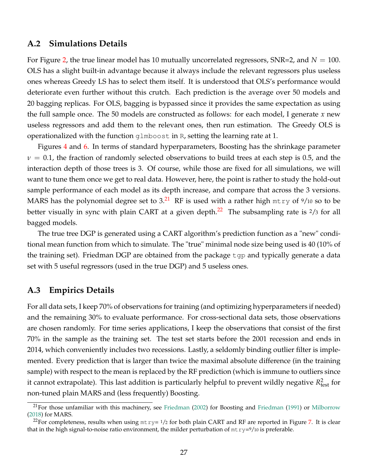#### <span id="page-27-0"></span>**A.2 Simulations Details**

For Figure [2,](#page-5-1) the true linear model has 10 mutually uncorrelated regressors,  $SNR=2$ , and  $N=100$ . OLS has a slight built-in advantage because it always include the relevant regressors plus useless ones whereas Greedy LS has to select them itself. It is understood that OLS's performance would deteriorate even further without this crutch. Each prediction is the average over 50 models and 20 bagging replicas. For OLS, bagging is bypassed since it provides the same expectation as using the full sample once. The 50 models are constructed as follows: for each model, I generate *x* new useless regressors and add them to the relevant ones, then run estimation. The Greedy OLS is operationalized with the function glmboost in R, setting the learning rate at 1.

Figures [4](#page-15-0) and [6.](#page-23-0) In terms of standard hyperparameters, Boosting has the shrinkage parameter  $\nu = 0.1$ , the fraction of randomly selected observations to build trees at each step is 0.5, and the interaction depth of those trees is 3. Of course, while those are fixed for all simulations, we will want to tune them once we get to real data. However, here, the point is rather to study the hold-out sample performance of each model as its depth increase, and compare that across the 3 versions. MARS has the polynomial degree set to 3.<sup>[21](#page-27-2)</sup> RF is used with a rather high  $mtry$  of  $9/10$  so to be better visually in sync with plain CART at a given depth.<sup>[22](#page-27-3)</sup> The subsampling rate is <sup>2</sup>/3 for all bagged models.

The true tree DGP is generated using a CART algorithm's prediction function as a "new" conditional mean function from which to simulate. The "true" minimal node size being used is 40 (10% of the training set). Friedman DGP are obtained from the package tgp and typically generate a data set with 5 useful regressors (used in the true DGP) and 5 useless ones.

### <span id="page-27-1"></span>**A.3 Empirics Details**

For all data sets, I keep 70% of observations for training (and optimizing hyperparameters if needed) and the remaining 30% to evaluate performance. For cross-sectional data sets, those observations are chosen randomly. For time series applications, I keep the observations that consist of the first 70% in the sample as the training set. The test set starts before the 2001 recession and ends in 2014, which conveniently includes two recessions. Lastly, a seldomly binding outlier filter is implemented. Every prediction that is larger than twice the maximal absolute difference (in the training sample) with respect to the mean is replaced by the RF prediction (which is immune to outliers since it cannot extrapolate). This last addition is particularly helpful to prevent wildly negative  $R^2_{\text{test}}$  for non-tuned plain MARS and (less frequently) Boosting.

<span id="page-27-2"></span> $^{21}$ For those unfamiliar with this machinery, see [Friedman](#page-20-12) [\(2002\)](#page-21-6) for Boosting and Friedman [\(1991\)](#page-20-12) or [Milborrow](#page-22-13) [\(2018\)](#page-22-13) for MARS.

<span id="page-27-3"></span><sup>&</sup>lt;sup>22</sup>For completeness, results when using  $m$ t  $ry$  = 1/2 for both plain CART and RF are reported in Figure [7.](#page-23-1) It is clear that in the high signal-to-noise ratio environment, the milder perturbation of  $m{try}=9/10$  is preferable.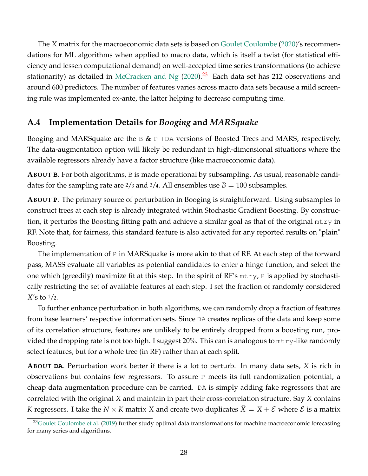The *X* matrix for the macroeconomic data sets is based on [Goulet Coulombe](#page-21-2) [\(2020\)](#page-21-2)'s recommendations for ML algorithms when applied to macro data, which is itself a twist (for statistical efficiency and lessen computational demand) on well-accepted time series transformations (to achieve stationarity) as detailed in [McCracken and Ng](#page-22-9)  $(2020).^{23}$  $(2020).^{23}$  $(2020).^{23}$  $(2020).^{23}$  Each data set has 212 observations and around 600 predictors. The number of features varies across macro data sets because a mild screening rule was implemented ex-ante, the latter helping to decrease computing time.

### <span id="page-28-0"></span>**A.4 Implementation Details for** *Booging* **and** *MARSquake*

Booging and MARSquake are the  $\mathbb B \& \mathbb P$  +DA versions of Boosted Trees and MARS, respectively. The data-augmentation option will likely be redundant in high-dimensional situations where the available regressors already have a factor structure (like macroeconomic data).

**ABOUT B**. For both algorithms, B is made operational by subsampling. As usual, reasonable candidates for the sampling rate are  $\frac{2}{3}$  and  $\frac{3}{4}$ . All ensembles use  $B = 100$  subsamples.

**ABOUT P**. The primary source of perturbation in Booging is straightforward. Using subsamples to construct trees at each step is already integrated within Stochastic Gradient Boosting. By construction, it perturbs the Boosting fitting path and achieve a similar goal as that of the original  $m \tau y$  in RF. Note that, for fairness, this standard feature is also activated for any reported results on "plain" Boosting.

The implementation of P in MARSquake is more akin to that of RF. At each step of the forward pass, MASS evaluate all variables as potential candidates to enter a hinge function, and select the one which (greedily) maximize fit at this step. In the spirit of  $RF's$  mtry, P is applied by stochastically restricting the set of available features at each step. I set the fraction of randomly considered *X*'s to 1/2.

To further enhance perturbation in both algorithms, we can randomly drop a fraction of features from base learners' respective information sets. Since DA creates replicas of the data and keep some of its correlation structure, features are unlikely to be entirely dropped from a boosting run, provided the dropping rate is not too high. I suggest 20%. This can is analogous to  $m$ t ry-like randomly select features, but for a whole tree (in RF) rather than at each split.

**ABOUT DA**. Perturbation work better if there is a lot to perturb. In many data sets, *X* is rich in observations but contains few regressors. To assure  $P$  meets its full randomization potential, a cheap data augmentation procedure can be carried. DA is simply adding fake regressors that are correlated with the original *X* and maintain in part their cross-correlation structure. Say *X* contains *K* regressors. I take the *N*  $\times$  *K* matrix *X* and create two duplicates *X* = *X* + *E* where *E* is a matrix

<span id="page-28-1"></span><sup>&</sup>lt;sup>23</sup>[Goulet Coulombe et al.](#page-21-1) [\(2019\)](#page-21-1) further study optimal data transformations for machine macroeconomic forecasting for many series and algorithms.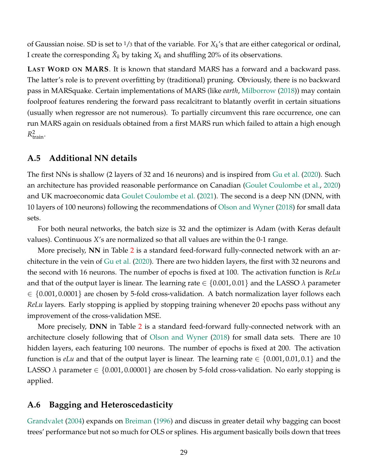of Gaussian noise. SD is set to <sup>1</sup>/<sup>3</sup> that of the variable. For *X<sup>k</sup>* 's that are either categorical or ordinal, I create the corresponding  $\tilde{X}_k$  by taking  $X_k$  and shuffling 20% of its observations.

**LAST WORD ON MARS**. It is known that standard MARS has a forward and a backward pass. The latter's role is to prevent overfitting by (traditional) pruning. Obviously, there is no backward pass in MARSquake. Certain implementations of MARS (like *earth*, [Milborrow](#page-22-13) [\(2018\)](#page-22-13)) may contain foolproof features rendering the forward pass recalcitrant to blatantly overfit in certain situations (usually when regressor are not numerous). To partially circumvent this rare occurrence, one can run MARS again on residuals obtained from a first MARS run which failed to attain a high enough  $R_{\text{train}}^2$ .

### <span id="page-29-0"></span>**A.5 Additional NN details**

The first NNs is shallow (2 layers of 32 and 16 neurons) and is inspired from [Gu et al.](#page-21-0) [\(2020\)](#page-21-0). Such an architecture has provided reasonable performance on Canadian [\(Goulet Coulombe et al.,](#page-21-14) [2020\)](#page-21-14) and UK macroeconomic data [Goulet Coulombe et al.](#page-21-15) [\(2021\)](#page-21-15). The second is a deep NN (DNN, with 10 layers of 100 neurons) following the recommendations of [Olson and Wyner](#page-22-14) [\(2018\)](#page-22-14) for small data sets.

For both neural networks, the batch size is 32 and the optimizer is Adam (with Keras default values). Continuous *X*'s are normalized so that all values are within the 0-1 range.

More precisely, **NN** in Table [2](#page-25-0) is a standard feed-forward fully-connected network with an architecture in the vein of [Gu et al.](#page-21-0) [\(2020\)](#page-21-0). There are two hidden layers, the first with 32 neurons and the second with 16 neurons. The number of epochs is fixed at 100. The activation function is *ReLu* and that of the output layer is linear. The learning rate ∈ {0.001, 0.01} and the LASSO *λ* parameter  $\in \{0.001, 0.0001\}$  are chosen by 5-fold cross-validation. A batch normalization layer follows each *ReLu* layers. Early stopping is applied by stopping training whenever 20 epochs pass without any improvement of the cross-validation MSE.

More precisely, **DNN** in Table [2](#page-25-0) is a standard feed-forward fully-connected network with an architecture closely following that of [Olson and Wyner](#page-22-14) [\(2018\)](#page-22-14) for small data sets. There are 10 hidden layers, each featuring 100 neurons. The number of epochs is fixed at 200. The activation function is *eLu* and that of the output layer is linear. The learning rate  $\in \{0.001, 0.01, 0.1\}$  and the LASSO  $\lambda$  parameter  $\in \{0.001, 0.00001\}$  are chosen by 5-fold cross-validation. No early stopping is applied.

### <span id="page-29-1"></span>**A.6 Bagging and Heteroscedasticity**

[Grandvalet](#page-21-16) [\(2004\)](#page-21-16) expands on [Breiman](#page-20-9) [\(1996\)](#page-20-9) and discuss in greater detail why bagging can boost trees' performance but not so much for OLS or splines. His argument basically boils down that trees